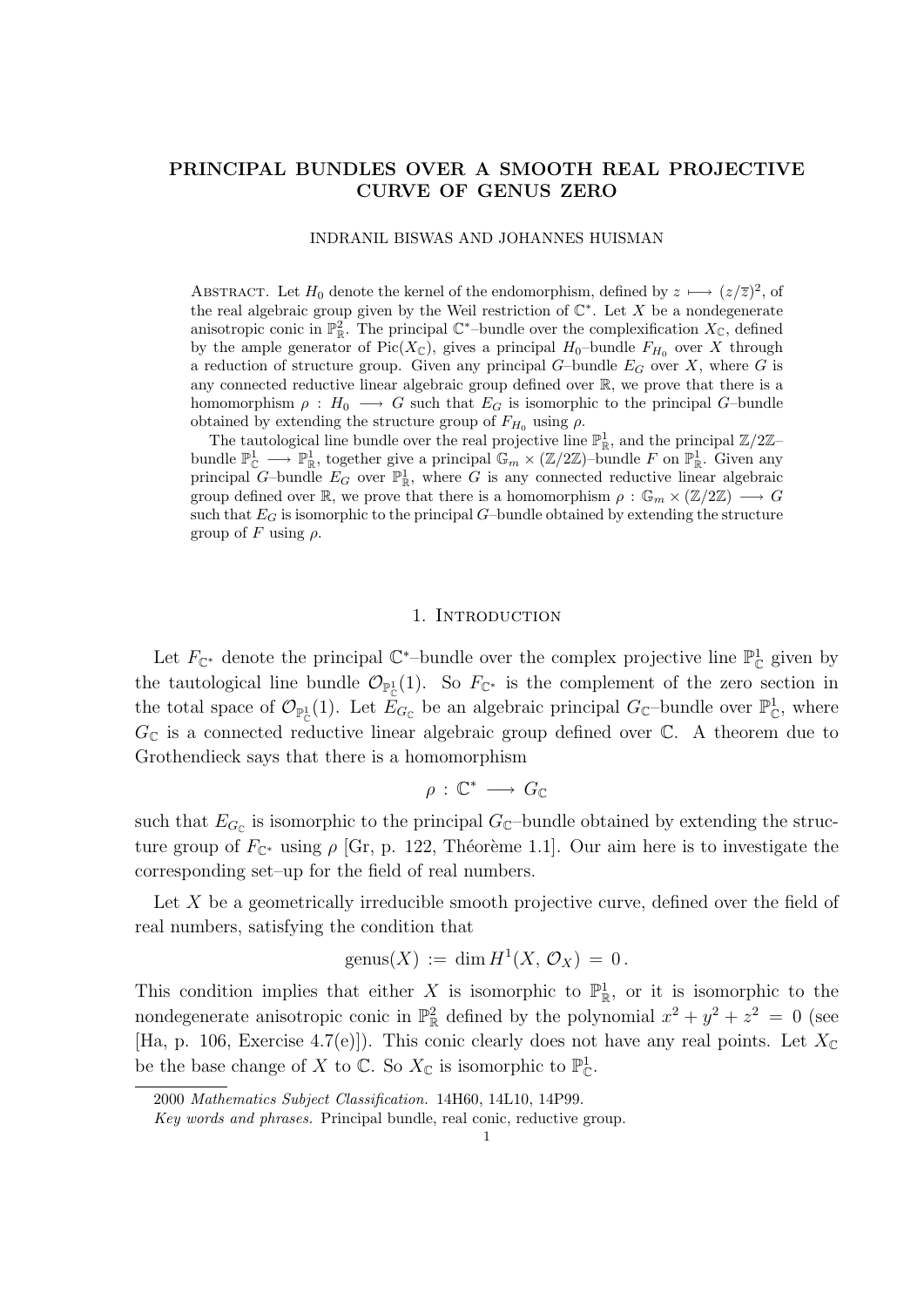# PRINCIPAL BUNDLES OVER A SMOOTH REAL PROJECTIVE CURVE OF GENUS ZERO

### INDRANIL BISWAS AND JOHANNES HUISMAN

ABSTRACT. Let  $H_0$  denote the kernel of the endomorphism, defined by  $z \mapsto (z/\overline{z})^2$ , of the real algebraic group given by the Weil restriction of  $\mathbb{C}^*$ . Let X be a nondegenerate anisotropic conic in  $\mathbb{P}^2_{\mathbb{R}}$ . The principal  $\mathbb{C}^*$ -bundle over the complexification  $X_{\mathbb{C}}$ , defined by the ample generator of Pic( $X_{\mathbb{C}}$ ), gives a principal  $H_0$ -bundle  $F_{H_0}$  over X through a reduction of structure group. Given any principal  $G$ -bundle  $E_G$  over X, where G is any connected reductive linear algebraic group defined over R, we prove that there is a homomorphism  $\rho : H_0 \longrightarrow G$  such that  $E_G$  is isomorphic to the principal G-bundle obtained by extending the structure group of  $F_{H_0}$  using  $\rho$ .

The tautological line bundle over the real projective line  $\mathbb{P}^1_{\mathbb{R}}$ , and the principal  $\mathbb{Z}/2\mathbb{Z}$ bundle  $\mathbb{P}^1_{\mathbb{C}} \longrightarrow \mathbb{P}^1_{\mathbb{R}}$ , together give a principal  $\mathbb{G}_m \times (\mathbb{Z}/2\mathbb{Z})$ -bundle F on  $\mathbb{P}^1_{\mathbb{R}}$ . Given any principal G–bundle  $E_G$  over  $\mathbb{P}^1_{\mathbb{R}}$ , where G is any connected reductive linear algebraic group defined over  $\mathbb{R}$ , we prove that there is a homomorphism  $\rho : \mathbb{G}_m \times (\mathbb{Z}/2\mathbb{Z}) \longrightarrow G$ such that  $E_G$  is isomorphic to the principal  $G$ –bundle obtained by extending the structure group of  $F$  using  $ρ$ .

#### 1. Introduction

Let  $F_{\mathbb{C}^*}$  denote the principal  $\mathbb{C}^*$ -bundle over the complex projective line  $\mathbb{P}^1_{\mathbb{C}}$  given by the tautological line bundle  $\mathcal{O}_{\mathbb{P}^1_{\mathbb{C}}}(1)$ . So  $F_{\mathbb{C}^*}$  is the complement of the zero section in the total space of  $\mathcal{O}_{\mathbb{P}^1_{\mathbb{C}}}(1)$ . Let  $\tilde{E}_{G_{\mathbb{C}}}$  be an algebraic principal  $G_{\mathbb{C}}$ -bundle over  $\mathbb{P}^1_{\mathbb{C}}$ , where  $G_{\mathbb{C}}$  is a connected reductive linear algebraic group defined over  $\mathbb{C}$ . A theorem due to Grothendieck says that there is a homomorphism

$$
\rho\,:\,\mathbb{C}^*\,\longrightarrow\,G_\mathbb{C}
$$

such that  $E_{G_{\mathbb{C}}}$  is isomorphic to the principal  $G_{\mathbb{C}}$ -bundle obtained by extending the structure group of  $F_{\mathbb{C}^*}$  using  $\rho$  [Gr, p. 122, Théorème 1.1]. Our aim here is to investigate the corresponding set–up for the field of real numbers.

Let  $X$  be a geometrically irreducible smooth projective curve, defined over the field of real numbers, satisfying the condition that

$$
genus(X) := \dim H^1(X, \mathcal{O}_X) = 0.
$$

This condition implies that either X is isomorphic to  $\mathbb{P}^1_{\mathbb{R}}$ , or it is isomorphic to the nondegenerate anisotropic conic in  $\mathbb{P}^2_{\mathbb{R}}$  defined by the polynomial  $x^2 + y^2 + z^2 = 0$  (see [Ha, p. 106, Exercise 4.7(e)]). This conic clearly does not have any real points. Let  $X_{\mathbb{C}}$ be the base change of X to  $\mathbb{C}$ . So  $X_{\mathbb{C}}$  is isomorphic to  $\mathbb{P}^1_{\mathbb{C}}$ .

<sup>2000</sup> Mathematics Subject Classification. 14H60, 14L10, 14P99.

Key words and phrases. Principal bundle, real conic, reductive group.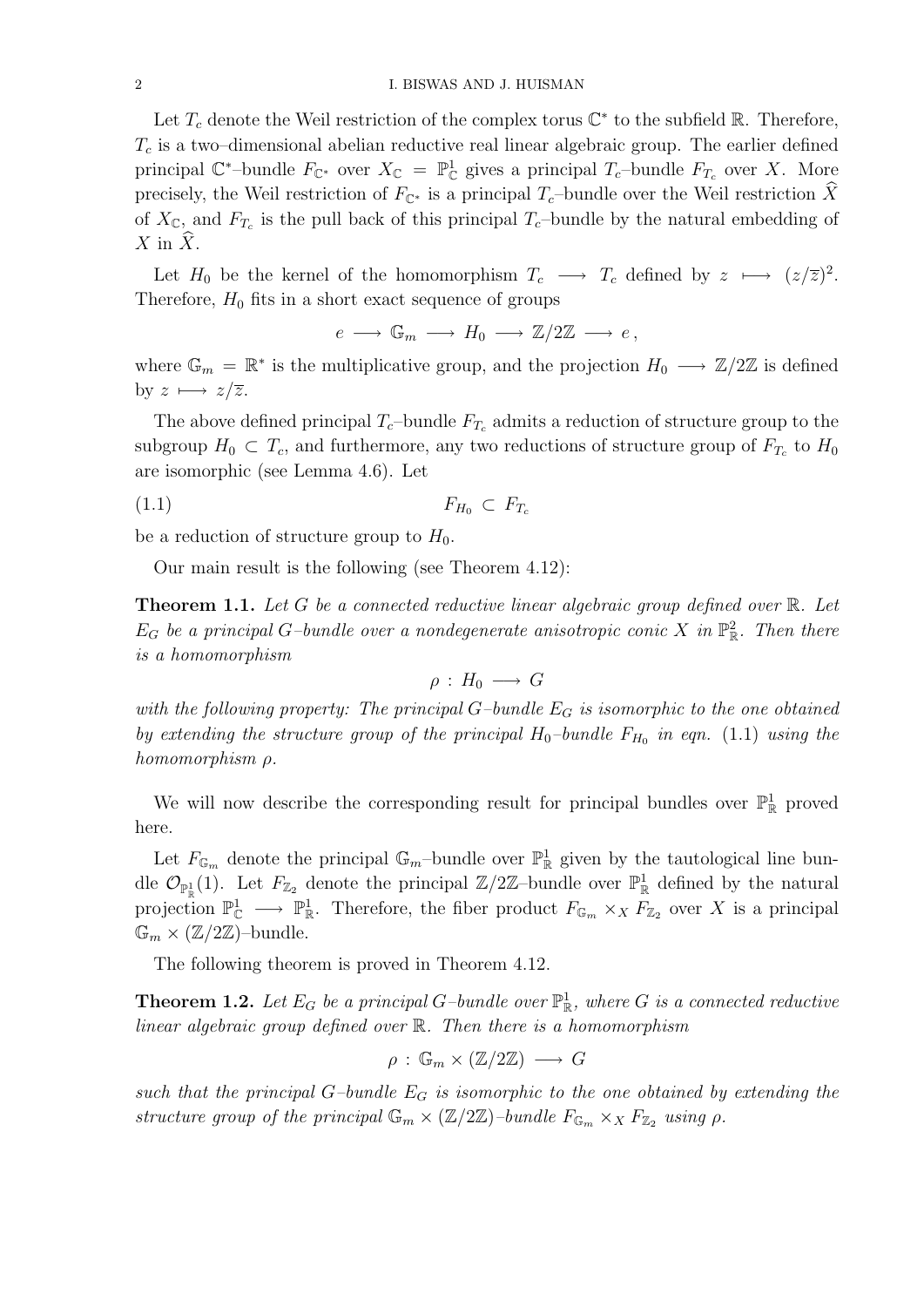Let  $T_c$  denote the Weil restriction of the complex torus  $\mathbb{C}^*$  to the subfield  $\mathbb{R}$ . Therefore,  $T_c$  is a two–dimensional abelian reductive real linear algebraic group. The earlier defined principal  $\mathbb{C}^*$ -bundle  $F_{\mathbb{C}^*}$  over  $X_{\mathbb{C}} = \mathbb{P}^1_{\mathbb{C}}$  gives a principal  $T_c$ -bundle  $F_{T_c}$  over X. More precisely, the Weil restriction of  $F_{\mathbb{C}^*}$  is a principal  $T_c$ –bundle over the Weil restriction X of  $X_{\mathbb{C}}$ , and  $F_{T_c}$  is the pull back of this principal  $T_c$ -bundle by the natural embedding of  $X$  in  $X$ .

Let  $H_0$  be the kernel of the homomorphism  $T_c \longrightarrow T_c$  defined by  $z \longmapsto (z/\overline{z})^2$ . Therefore,  $H_0$  fits in a short exact sequence of groups

 $e \longrightarrow \mathbb{G}_m \longrightarrow H_0 \longrightarrow \mathbb{Z}/2\mathbb{Z} \longrightarrow e$ 

where  $\mathbb{G}_m = \mathbb{R}^*$  is the multiplicative group, and the projection  $H_0 \longrightarrow \mathbb{Z}/2\mathbb{Z}$  is defined by  $z \mapsto z/\overline{z}$ .

The above defined principal  $T_c$ -bundle  $F_{T_c}$  admits a reduction of structure group to the subgroup  $H_0 \subset T_c$ , and furthermore, any two reductions of structure group of  $F_{T_c}$  to  $H_0$ are isomorphic (see Lemma 4.6). Let

$$
(1.1) \t\t F_{H_0} \subset F_{T_c}
$$

be a reduction of structure group to  $H_0$ .

Our main result is the following (see Theorem 4.12):

**Theorem 1.1.** Let G be a connected reductive linear algebraic group defined over  $\mathbb{R}$ . Let  $E_G$  be a principal G-bundle over a nondegenerate anisotropic conic X in  $\mathbb{P}^2_{\mathbb{R}}$ . Then there is a homomorphism

$$
\rho\,:\,H_0\,\longrightarrow\,G
$$

with the following property: The principal  $G$ -bundle  $E_G$  is isomorphic to the one obtained by extending the structure group of the principal  $H_0$ -bundle  $F_{H_0}$  in eqn. (1.1) using the homomorphism ρ.

We will now describe the corresponding result for principal bundles over  $\mathbb{P}^1_{\mathbb{R}}$  proved here.

Let  $F_{\mathbb{G}_m}$  denote the principal  $\mathbb{G}_m$ -bundle over  $\mathbb{P}^1_{\mathbb{R}}$  given by the tautological line bundle  $\mathcal{O}_{\mathbb{P}^1_{\mathbb{R}}}(1)$ . Let  $F_{\mathbb{Z}_2}$  denote the principal  $\mathbb{Z}/2\mathbb{Z}$ -bundle over  $\mathbb{P}^1_{\mathbb{R}}$  defined by the natural projection  $\mathbb{P}^1_{\mathbb{C}} \longrightarrow \mathbb{P}^1_{\mathbb{R}}$ . Therefore, the fiber product  $F_{\mathbb{G}_m} \times_X F_{\mathbb{Z}_2}$  over X is a principal  $\mathbb{G}_m \times (\mathbb{Z}/2\mathbb{Z})$ -bundle.

The following theorem is proved in Theorem 4.12.

**Theorem 1.2.** Let  $E_G$  be a principal G-bundle over  $\mathbb{P}^1_{\mathbb{R}}$ , where G is a connected reductive linear algebraic group defined over R. Then there is a homomorphism

$$
\rho\,:\,\mathbb{G}_m\times(\mathbb{Z}/2\mathbb{Z})\,\longrightarrow\,G
$$

such that the principal  $G$ -bundle  $E_G$  is isomorphic to the one obtained by extending the structure group of the principal  $\mathbb{G}_m \times (\mathbb{Z}/2\mathbb{Z})$ -bundle  $F_{\mathbb{G}_m} \times_X F_{\mathbb{Z}_2}$  using  $\rho$ .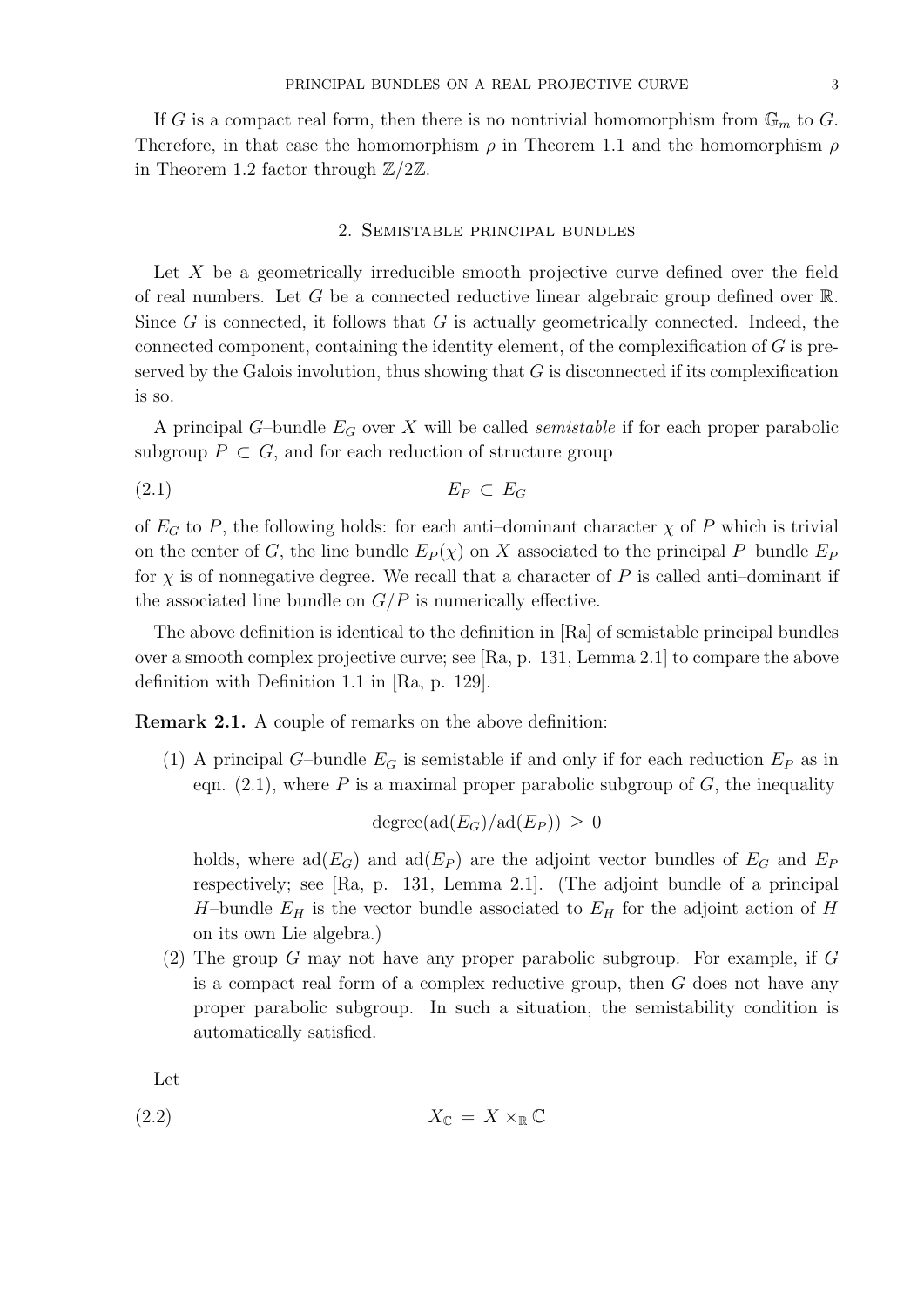If G is a compact real form, then there is no nontrivial homomorphism from  $\mathbb{G}_m$  to G. Therefore, in that case the homomorphism  $\rho$  in Theorem 1.1 and the homomorphism  $\rho$ in Theorem 1.2 factor through  $\mathbb{Z}/2\mathbb{Z}$ .

### 2. Semistable principal bundles

Let X be a geometrically irreducible smooth projective curve defined over the field of real numbers. Let G be a connected reductive linear algebraic group defined over  $\mathbb{R}$ . Since  $G$  is connected, it follows that  $G$  is actually geometrically connected. Indeed, the connected component, containing the identity element, of the complexification of  $G$  is preserved by the Galois involution, thus showing that  $G$  is disconnected if its complexification is so.

A principal G-bundle  $E_G$  over X will be called *semistable* if for each proper parabolic subgroup  $P \subset G$ , and for each reduction of structure group

$$
(2.1) \t\t\t E_P \subset E_G
$$

of  $E_G$  to P, the following holds: for each anti-dominant character  $\chi$  of P which is trivial on the center of G, the line bundle  $E_P(\chi)$  on X associated to the principal P–bundle  $E_P$ for  $\chi$  is of nonnegative degree. We recall that a character of P is called anti-dominant if the associated line bundle on  $G/P$  is numerically effective.

The above definition is identical to the definition in [Ra] of semistable principal bundles over a smooth complex projective curve; see [Ra, p. 131, Lemma 2.1] to compare the above definition with Definition 1.1 in [Ra, p. 129].

Remark 2.1. A couple of remarks on the above definition:

(1) A principal G–bundle  $E_G$  is semistable if and only if for each reduction  $E_P$  as in eqn.  $(2.1)$ , where P is a maximal proper parabolic subgroup of G, the inequality

$$
degree(ad(E_G)/ad(E_P)) \geq 0
$$

holds, where  $\text{ad}(E_G)$  and  $\text{ad}(E_P)$  are the adjoint vector bundles of  $E_G$  and  $E_P$ respectively; see [Ra, p. 131, Lemma 2.1]. (The adjoint bundle of a principal H-bundle  $E_H$  is the vector bundle associated to  $E_H$  for the adjoint action of H on its own Lie algebra.)

(2) The group G may not have any proper parabolic subgroup. For example, if  $G$ is a compact real form of a complex reductive group, then G does not have any proper parabolic subgroup. In such a situation, the semistability condition is automatically satisfied.

Let

$$
X_{\mathbb{C}} = X \times_{\mathbb{R}} \mathbb{C}
$$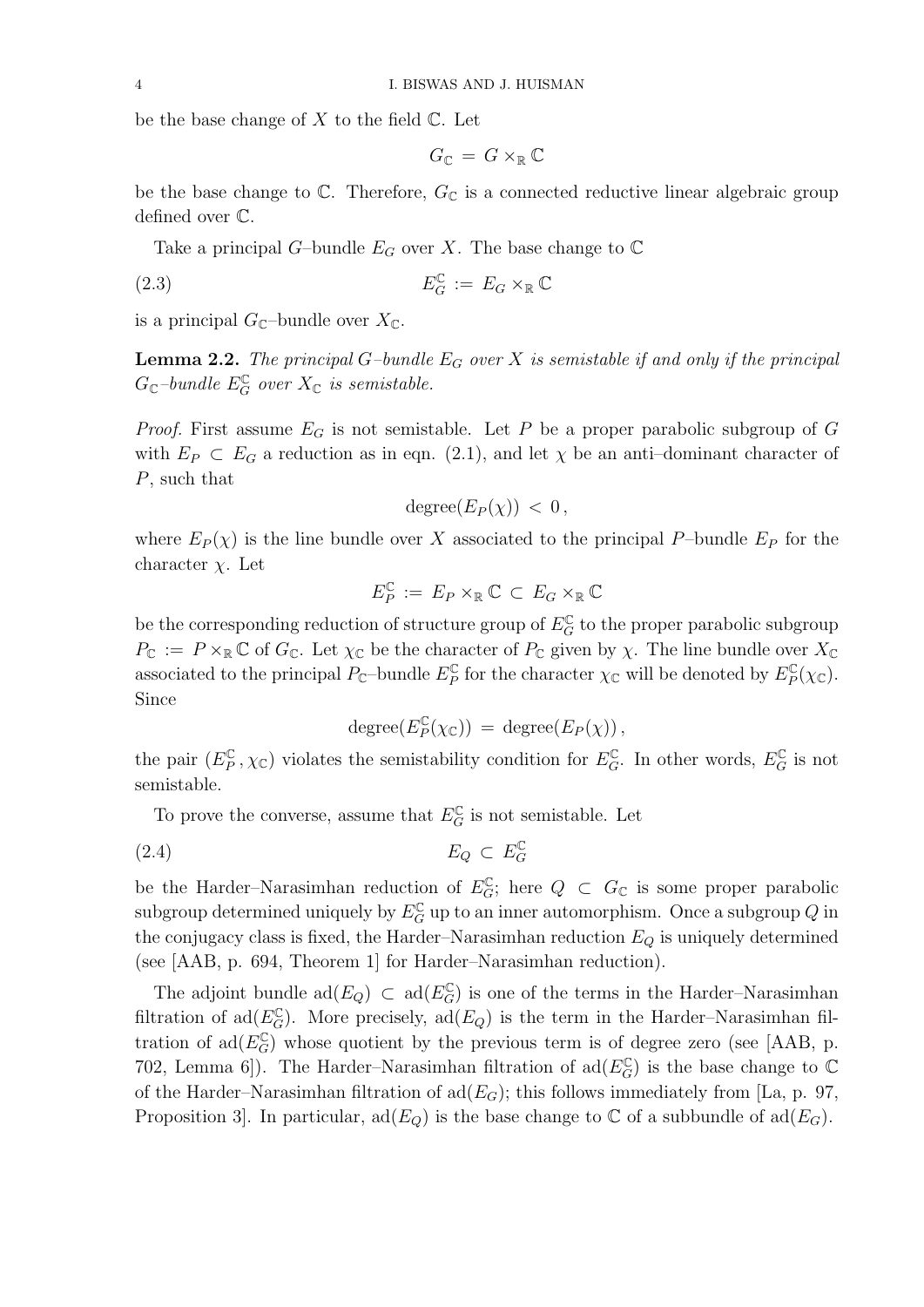be the base change of  $X$  to the field  $\mathbb{C}$ . Let

$$
G_{\mathbb{C}} = G \times_{\mathbb{R}} \mathbb{C}
$$

be the base change to  $\mathbb C$ . Therefore,  $G_{\mathbb C}$  is a connected reductive linear algebraic group defined over C.

Take a principal G–bundle  $E_G$  over X. The base change to  $\mathbb C$ 

$$
E_G^{\mathbb{C}} := E_G \times_{\mathbb{R}} \mathbb{C}
$$

is a principal  $G_{\mathbb{C}}$ -bundle over  $X_{\mathbb{C}}$ .

**Lemma 2.2.** The principal G-bundle  $E_G$  over X is semistable if and only if the principal  $G_{\mathbb{C}}$ -bundle  $E_G^{\mathbb{C}}$  over  $X_{\mathbb{C}}$  is semistable.

*Proof.* First assume  $E_G$  is not semistable. Let P be a proper parabolic subgroup of G with  $E_P \subset E_G$  a reduction as in eqn. (2.1), and let  $\chi$  be an anti-dominant character of P, such that

$$
degree(E_P(\chi)) < 0,
$$

where  $E_P(\chi)$  is the line bundle over X associated to the principal P-bundle  $E_P$  for the character  $\chi$ . Let

$$
E_P^{\mathbb{C}}\,:=\,E_P\times_{\mathbb{R}}\mathbb{C}\,\subset\,E_G\times_{\mathbb{R}}\mathbb{C}
$$

be the corresponding reduction of structure group of  $E_G^{\mathbb{C}}$  to the proper parabolic subgroup  $P_{\mathbb{C}} := P \times_{\mathbb{R}} \mathbb{C}$  of  $G_{\mathbb{C}}$ . Let  $\chi_{\mathbb{C}}$  be the character of  $P_{\mathbb{C}}$  given by  $\chi$ . The line bundle over  $X_{\mathbb{C}}$ associated to the principal  $P_{\mathbb{C}}$ -bundle  $E_P^{\mathbb{C}}$  $\mathcal{L}_P^{\mathbb{C}}$  for the character  $\chi_{\mathbb{C}}$  will be denoted by  $E_P^{\mathbb{C}}$  $E_P^{\mathbb{C}}(\chi_{\mathbb{C}}).$ Since

$$
degree(E_P^{\mathbb{C}}(\chi_{\mathbb{C}})) = degree(E_P(\chi)),
$$

the pair  $(E_P^{\mathbb{C}})$  $(\mathcal{L}_P^{\mathbb{C}}, \chi_{\mathbb{C}})$  violates the semistability condition for  $E_G^{\mathbb{C}}$ . In other words,  $E_G^{\mathbb{C}}$  is not semistable.

To prove the converse, assume that  $E_G^{\mathbb{C}}$  is not semistable. Let

$$
(2.4) \t\t\t E_Q \subset E_G^{\mathbb{C}}
$$

be the Harder–Narasimhan reduction of  $E_G^{\mathbb{C}}$ ; here  $Q \subset G_{\mathbb{C}}$  is some proper parabolic subgroup determined uniquely by  $E_G^{\mathbb{C}}$  up to an inner automorphism. Once a subgroup  $Q$  in the conjugacy class is fixed, the Harder–Narasimhan reduction  $E_Q$  is uniquely determined (see [AAB, p. 694, Theorem 1] for Harder–Narasimhan reduction).

The adjoint bundle  $\text{ad}(E_Q) \subset \text{ad}(E_G^{\mathbb{C}})$  is one of the terms in the Harder–Narasimhan filtration of ad $(E_G^{\mathbb{C}})$ . More precisely, ad $(E_Q)$  is the term in the Harder–Narasimhan filtration of  $\text{ad}(E_G^{\mathbb{C}})$  whose quotient by the previous term is of degree zero (see [AAB, p. 702, Lemma 6]). The Harder–Narasimhan filtration of  $\text{ad}(E_G^{\mathbb{C}})$  is the base change to  $\mathbb C$ of the Harder–Narasimhan filtration of  $\text{ad}(E_G)$ ; this follows immediately from [La, p. 97, Proposition 3. In particular,  $ad(E_Q)$  is the base change to  $\mathbb C$  of a subbundle of  $ad(E_G)$ .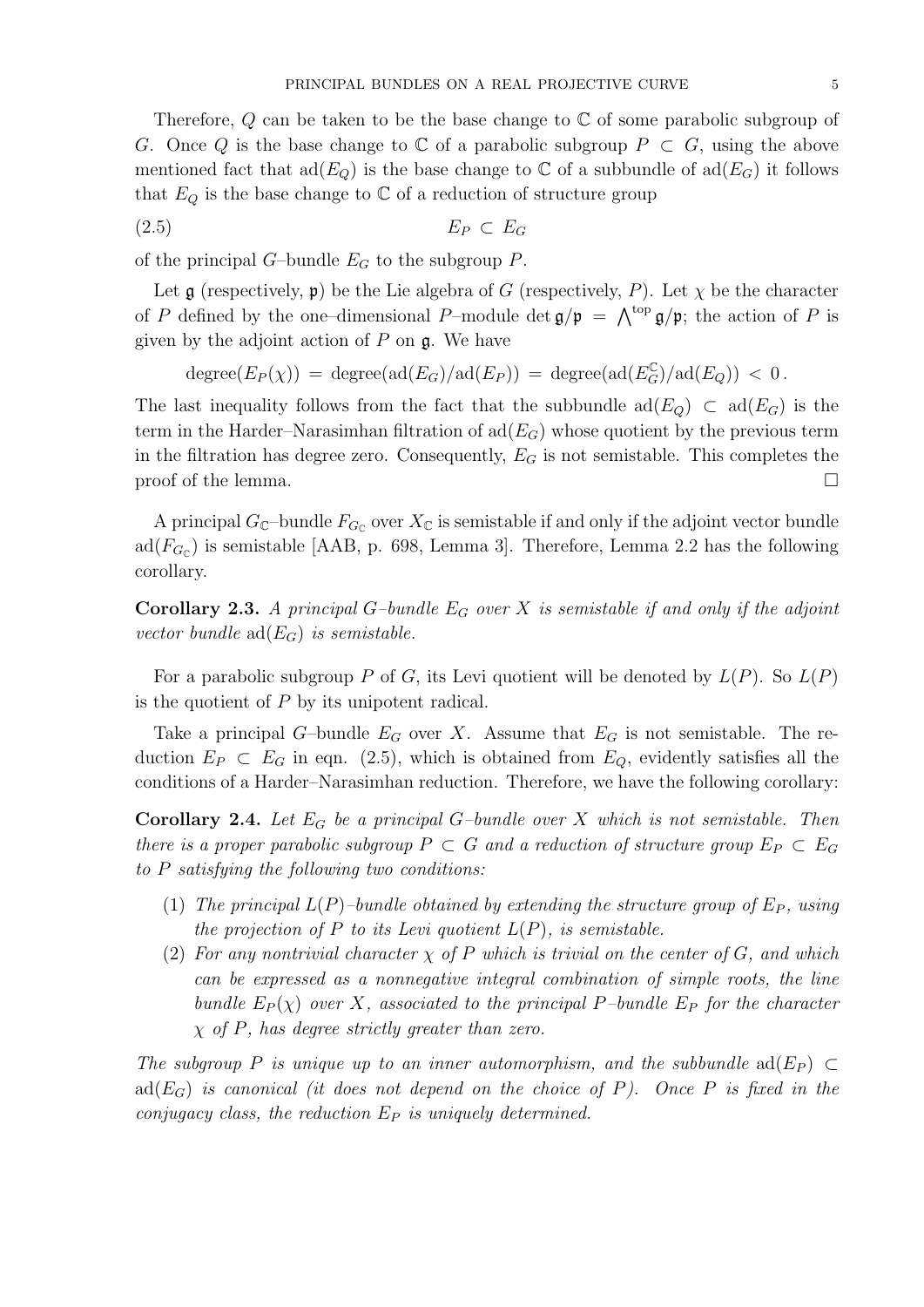Therefore,  $Q$  can be taken to be the base change to  $\mathbb C$  of some parabolic subgroup of G. Once Q is the base change to  $\mathbb C$  of a parabolic subgroup  $P \subset G$ , using the above mentioned fact that  $\text{ad}(E_Q)$  is the base change to C of a subbundle of  $\text{ad}(E_G)$  it follows that  $E_Q$  is the base change to  $\mathbb C$  of a reduction of structure group

$$
(2.5) \t\t\t E_P \subset E_G
$$

of the principal  $G$ -bundle  $E_G$  to the subgroup  $P$ .

Let  $\mathfrak g$  (respectively,  $\mathfrak p$ ) be the Lie algebra of G (respectively, P). Let  $\chi$  be the character of P defined by the one-dimensional P-module det  $\mathfrak{g}/\mathfrak{p} = \bigwedge^{\text{top}} \mathfrak{g}/\mathfrak{p}$ ; the action of P is given by the adjoint action of  $P$  on  $\mathfrak{g}$ . We have

 $degree(E_P(\chi)) = degree(ad(E_G)/ad(E_P)) = degree(ad(E_G^{\mathbb{C}})/ad(E_Q)) < 0$ .

The last inequality follows from the fact that the subbundle  $\text{ad}(E_{Q}) \subset \text{ad}(E_{G})$  is the term in the Harder–Narasimhan filtration of  $\text{ad}(E_G)$  whose quotient by the previous term in the filtration has degree zero. Consequently,  $E_G$  is not semistable. This completes the proof of the lemma.  $\Box$ 

A principal  $G_{\mathbb{C}}$ -bundle  $F_{G_{\mathbb{C}}}$  over  $X_{\mathbb{C}}$  is semistable if and only if the adjoint vector bundle  $ad(F_{G_{\mathbb{C}}})$  is semistable [AAB, p. 698, Lemma 3]. Therefore, Lemma 2.2 has the following corollary.

**Corollary 2.3.** A principal G-bundle  $E_G$  over X is semistable if and only if the adjoint vector bundle  $ad(E_G)$  is semistable.

For a parabolic subgroup P of G, its Levi quotient will be denoted by  $L(P)$ . So  $L(P)$ is the quotient of P by its unipotent radical.

Take a principal G-bundle  $E_G$  over X. Assume that  $E_G$  is not semistable. The reduction  $E_P \subset E_G$  in eqn. (2.5), which is obtained from  $E_Q$ , evidently satisfies all the conditions of a Harder–Narasimhan reduction. Therefore, we have the following corollary:

**Corollary 2.4.** Let  $E_G$  be a principal G-bundle over X which is not semistable. Then there is a proper parabolic subgroup  $P \subset G$  and a reduction of structure group  $E_P \subset E_G$ to P satisfying the following two conditions:

- (1) The principal  $L(P)$ -bundle obtained by extending the structure group of  $E_P$ , using the projection of P to its Levi quotient  $L(P)$ , is semistable.
- (2) For any nontrivial character  $\chi$  of P which is trivial on the center of G, and which can be expressed as a nonnegative integral combination of simple roots, the line bundle  $E_P(\chi)$  over X, associated to the principal P-bundle  $E_P$  for the character  $\chi$  of P, has degree strictly greater than zero.

The subgroup P is unique up to an inner automorphism, and the subbundle  $ad(E_P) \subset$ ad( $E_G$ ) is canonical (it does not depend on the choice of P). Once P is fixed in the conjugacy class, the reduction  $E_P$  is uniquely determined.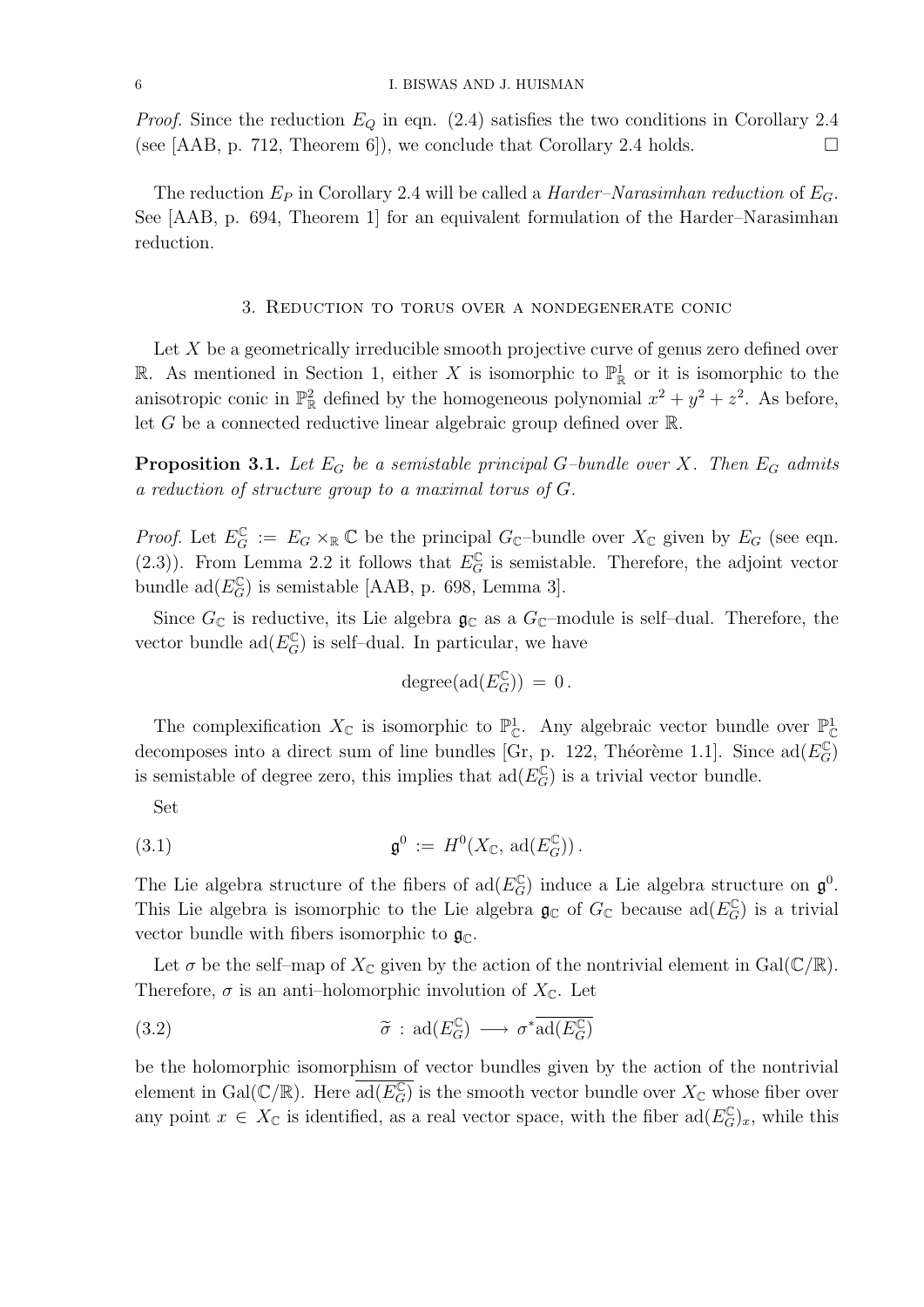*Proof.* Since the reduction  $E_Q$  in eqn. (2.4) satisfies the two conditions in Corollary 2.4 (see [AAB, p. 712, Theorem 6]), we conclude that Corollary 2.4 holds.  $\square$ 

The reduction  $E_P$  in Corollary 2.4 will be called a *Harder–Narasimhan reduction* of  $E_G$ . See [AAB, p. 694, Theorem 1] for an equivalent formulation of the Harder–Narasimhan reduction.

### 3. Reduction to torus over a nondegenerate conic

Let  $X$  be a geometrically irreducible smooth projective curve of genus zero defined over R. As mentioned in Section 1, either X is isomorphic to  $\mathbb{P}^1_{\mathbb{R}}$  or it is isomorphic to the anisotropic conic in  $\mathbb{P}^2_{\mathbb{R}}$  defined by the homogeneous polynomial  $x^2 + y^2 + z^2$ . As before, let G be a connected reductive linear algebraic group defined over  $\mathbb{R}$ .

**Proposition 3.1.** Let  $E_G$  be a semistable principal G-bundle over X. Then  $E_G$  admits a reduction of structure group to a maximal torus of G.

*Proof.* Let  $E_G^{\mathbb{C}} := E_G \times_{\mathbb{R}} \mathbb{C}$  be the principal  $G_{\mathbb{C}}$ -bundle over  $X_{\mathbb{C}}$  given by  $E_G$  (see eqn. (2.3)). From Lemma 2.2 it follows that  $E_G^{\mathbb{C}}$  is semistable. Therefore, the adjoint vector bundle  $\text{ad}(E_G^{\mathbb{C}})$  is semistable [AAB, p. 698, Lemma 3].

Since  $G_{\mathbb{C}}$  is reductive, its Lie algebra  $\mathfrak{g}_{\mathbb{C}}$  as a  $G_{\mathbb{C}}$ -module is self-dual. Therefore, the vector bundle  $\text{ad}(E_G^{\mathbb{C}})$  is self-dual. In particular, we have

$$
\,\mathrm{degree}(\mathrm{ad}(E_G^\mathbb{C}))\,=\,0\,.
$$

The complexification  $X_{\mathbb{C}}$  is isomorphic to  $\mathbb{P}^1_{\mathbb{C}}$ . Any algebraic vector bundle over  $\mathbb{P}^1_{\mathbb{C}}$ decomposes into a direct sum of line bundles [Gr, p. 122, Théorème 1.1]. Since  $\text{ad}(E_G^{\mathbb{C}})$ is semistable of degree zero, this implies that  $\text{ad}(E_G^{\mathbb{C}})$  is a trivial vector bundle.

Set

(3.1) 
$$
\mathfrak{g}^0 := H^0(X_{\mathbb{C}}, \text{ad}(E_G^{\mathbb{C}})).
$$

The Lie algebra structure of the fibers of  $\text{ad}(E_G^{\mathbb{C}})$  induce a Lie algebra structure on  $\mathfrak{g}^0$ . This Lie algebra is isomorphic to the Lie algebra  $\mathfrak{g}_{\mathbb{C}}$  of  $G_{\mathbb{C}}$  because  $\text{ad}(E_G^{\mathbb{C}})$  is a trivial vector bundle with fibers isomorphic to  $\mathfrak{g}_{\mathbb{C}}$ .

Let  $\sigma$  be the self-map of  $X_{\mathbb{C}}$  given by the action of the nontrivial element in Gal( $\mathbb{C}/\mathbb{R}$ ). Therefore,  $\sigma$  is an anti-holomorphic involution of  $X_{\mathbb{C}}$ . Let

(3.2) 
$$
\widetilde{\sigma} : \mathrm{ad}(E_G^{\mathbb{C}}) \longrightarrow \sigma^* \overline{\mathrm{ad}(E_G^{\mathbb{C}})}
$$

be the holomorphic isomorphism of vector bundles given by the action of the nontrivial element in Gal $(\mathbb{C}/\mathbb{R})$ . Here  $\overline{\text{ad}(E_G^{\mathbb{C}})}$  is the smooth vector bundle over  $X_{\mathbb{C}}$  whose fiber over any point  $x \in X_{\mathbb{C}}$  is identified, as a real vector space, with the fiber  $\text{ad}(E_G^{\mathbb{C}})_x$ , while this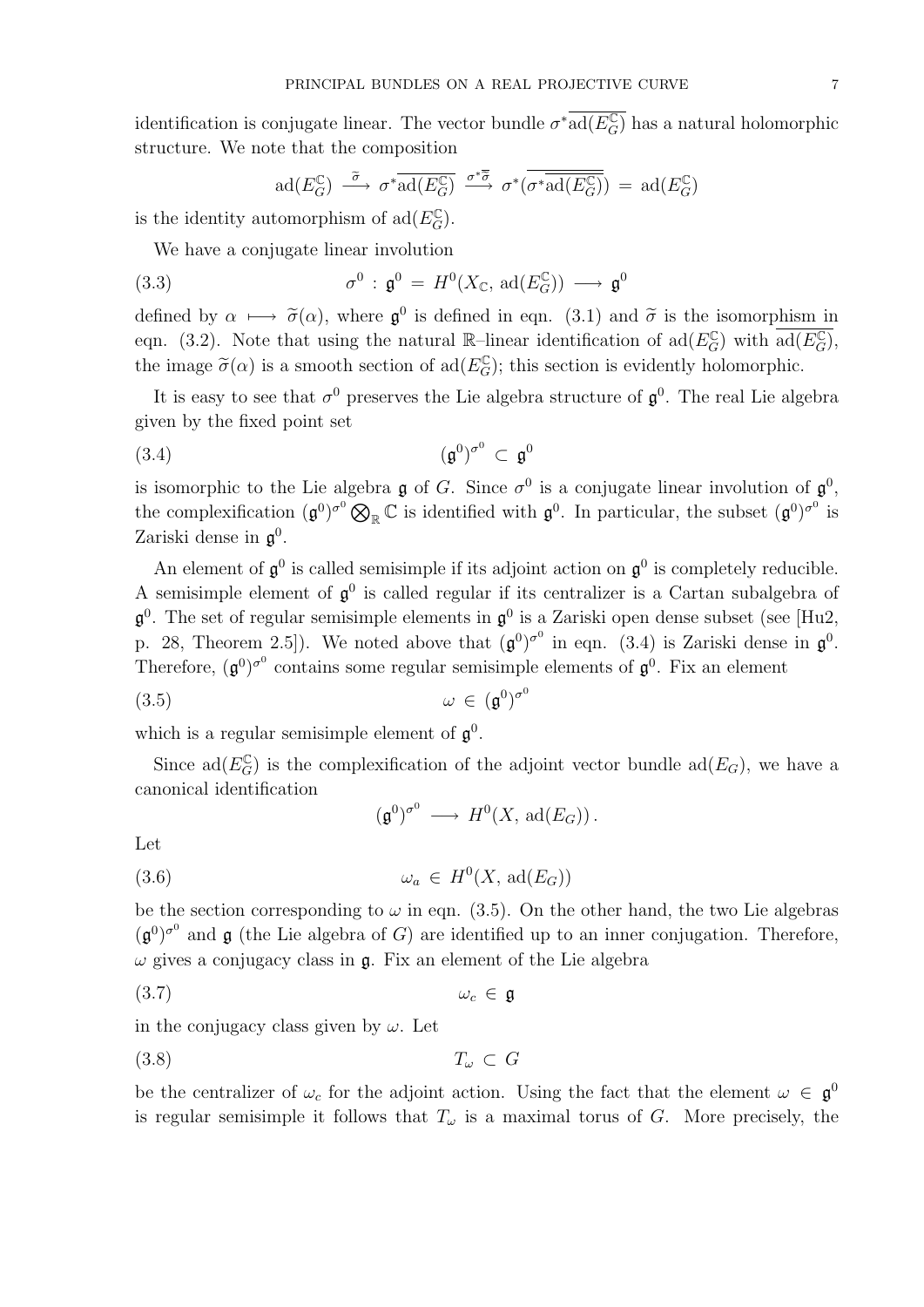identification is conjugate linear. The vector bundle  $\sigma^* \overline{\text{ad}(E_G^{\mathbb{C}})}$  has a natural holomorphic structure. We note that the composition

$$
\mathrm{ad}(E_G^{\mathbb{C}}) \stackrel{\widetilde{\sigma}}{\longrightarrow} \sigma^* \overline{\mathrm{ad}(E_G^{\mathbb{C}})} \stackrel{\sigma^* \overline{\widetilde{\sigma}}}{\longrightarrow} \sigma^* (\overline{\sigma^* \overline{\mathrm{ad}(E_G^{\mathbb{C}})}}) = \mathrm{ad}(E_G^{\mathbb{C}})
$$

is the identity automorphism of  $\text{ad}(E_G^{\mathbb{C}})$ .

We have a conjugate linear involution

(3.3) 
$$
\sigma^0 : \mathfrak{g}^0 = H^0(X_{\mathbb{C}}, \text{ad}(E_G^{\mathbb{C}})) \longrightarrow \mathfrak{g}^0
$$

defined by  $\alpha \mapsto \tilde{\sigma}(\alpha)$ , where  $\mathfrak{g}^0$  is defined in eqn. (3.1) and  $\tilde{\sigma}$  is the isomorphism in<br>case (3.2). Note that wise the patron  $\mathbb{R}$  linear identification of al( $F^{\mathbb{C}}$ ) with  $\tilde{\sigma}^{1}(F^{\mathbb{C}})$ eqn. (3.2). Note that using the natural R-linear identification of  $\text{ad}(E_G^{\mathbb{C}})$  with  $\text{ad}(E_G^{\mathbb{C}})$ , the image  $\tilde{\sigma}(\alpha)$  is a smooth section of ad( $E_G^{\mathbb{C}}$ ); this section is evidently holomorphic.

It is easy to see that  $\sigma^0$  preserves the Lie algebra structure of  $\mathfrak{g}^0$ . The real Lie algebra given by the fixed point set

(3.4) (g 0 ) σ 0 ⊂ g 0

is isomorphic to the Lie algebra  $\mathfrak g$  of G. Since  $\sigma^0$  is a conjugate linear involution of  $\mathfrak g^0$ , the complexification  $(\mathfrak{g}^0)^{\sigma^0} \otimes_{\mathbb{R}} \mathbb{C}$  is identified with  $\mathfrak{g}^0$ . In particular, the subset  $(\mathfrak{g}^0)^{\sigma^0}$  is Zariski dense in  $\mathfrak{g}^0$ .

An element of  $\mathfrak{g}^0$  is called semisimple if its adjoint action on  $\mathfrak{g}^0$  is completely reducible. A semisimple element of  $\mathfrak{g}^0$  is called regular if its centralizer is a Cartan subalgebra of  $\mathfrak{g}^0$ . The set of regular semisimple elements in  $\mathfrak{g}^0$  is a Zariski open dense subset (see [Hu2, p. 28, Theorem 2.5]). We noted above that  $(\mathfrak{g}^0)^{\sigma^0}$  in eqn. (3.4) is Zariski dense in  $\mathfrak{g}^0$ . Therefore,  $(\mathfrak{g}^0)^\sigma$  contains some regular semisimple elements of  $\mathfrak{g}^0$ . Fix an element

$$
\omega \in (\mathfrak{g}^0)^{\sigma^0}
$$

which is a regular semisimple element of  $\mathfrak{g}^0$ .

Since  $\text{ad}(E_G^{\mathbb{C}})$  is the complexification of the adjoint vector bundle  $\text{ad}(E_G)$ , we have a canonical identification

$$
(\mathfrak{g}^0)^{\sigma^0} \longrightarrow H^0(X, \text{ad}(E_G)).
$$

Let

$$
(3.6) \t\t \t\t \omega_a \in H^0(X, \text{ad}(E_G))
$$

be the section corresponding to  $\omega$  in eqn. (3.5). On the other hand, the two Lie algebras  $(\mathfrak{g}^0)^{\sigma^0}$  and  $\mathfrak{g}$  (the Lie algebra of G) are identified up to an inner conjugation. Therefore,  $\omega$  gives a conjugacy class in  $\mathfrak{g}$ . Fix an element of the Lie algebra

$$
(3.7) \t\t\t\t\t\t\omega_c \in \mathfrak{g}
$$

in the conjugacy class given by  $\omega$ . Let

$$
(3.8) \t\t T_{\omega} \subset G
$$

be the centralizer of  $\omega_c$  for the adjoint action. Using the fact that the element  $\omega \in \mathfrak{g}^0$ is regular semisimple it follows that  $T_{\omega}$  is a maximal torus of G. More precisely, the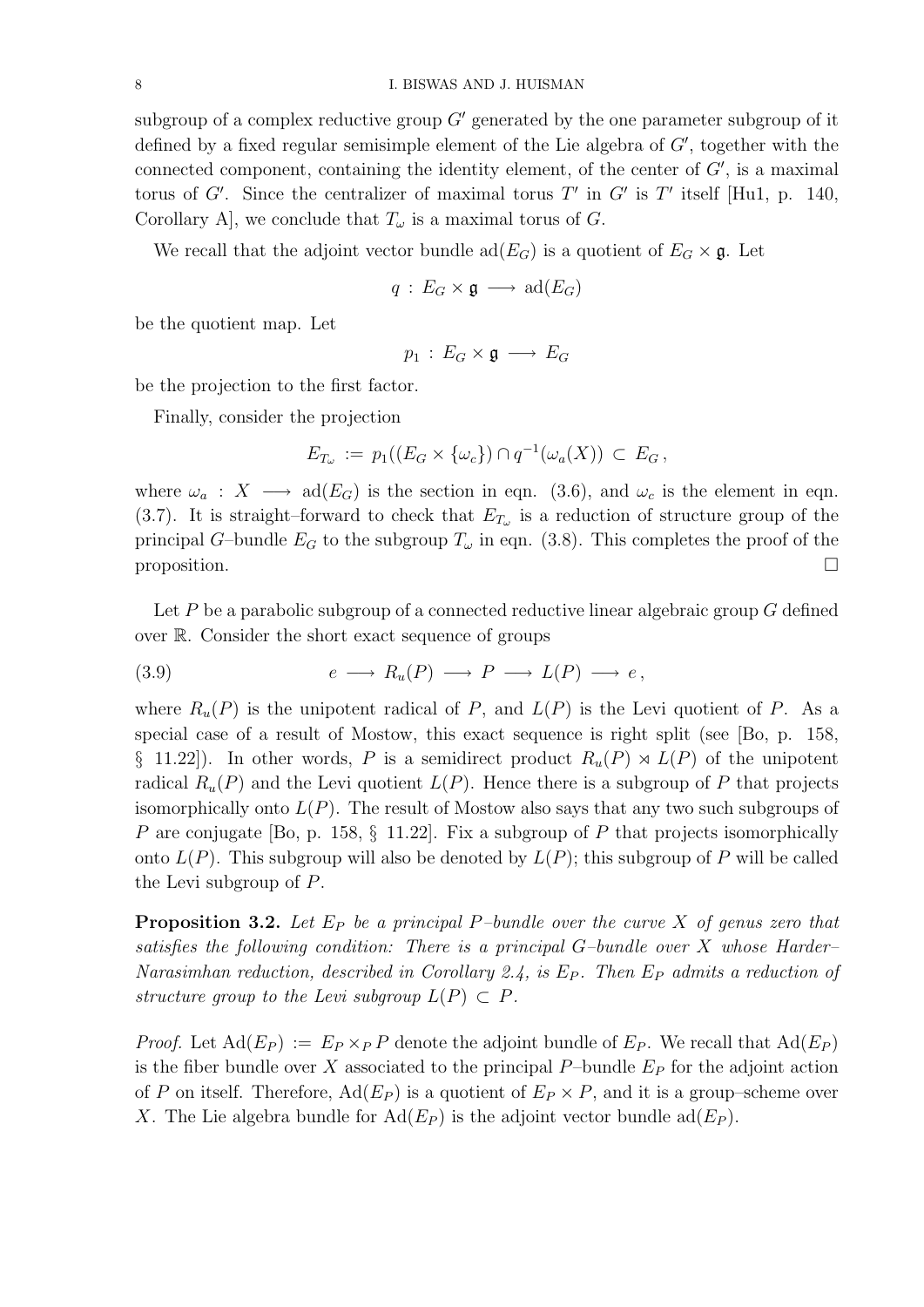subgroup of a complex reductive group  $G'$  generated by the one parameter subgroup of it defined by a fixed regular semisimple element of the Lie algebra of  $G'$ , together with the connected component, containing the identity element, of the center of  $G'$ , is a maximal torus of G'. Since the centralizer of maximal torus T' in G' is T' itself [Hu1, p. 140, Corollary A], we conclude that  $T_{\omega}$  is a maximal torus of G.

We recall that the adjoint vector bundle  $\text{ad}(E_G)$  is a quotient of  $E_G \times \mathfrak{g}$ . Let

$$
q\,:\,E_G\times\mathfrak{g}\,\longrightarrow\,\mathrm{ad}(E_G)
$$

be the quotient map. Let

$$
p_1\,:\,E_G\times\mathfrak{g}\,\longrightarrow\, E_G
$$

be the projection to the first factor.

Finally, consider the projection

$$
E_{T_{\omega}} := p_1((E_G \times {\{\omega_c\}}) \cap q^{-1}(\omega_a(X)) \subset E_G,
$$

where  $\omega_a: X \longrightarrow \text{ad}(E_G)$  is the section in eqn. (3.6), and  $\omega_c$  is the element in eqn. (3.7). It is straight–forward to check that  $E_{T_{\omega}}$  is a reduction of structure group of the principal G–bundle  $E_G$  to the subgroup  $T_\omega$  in eqn. (3.8). This completes the proof of the  $\Box$  proposition.

Let  $P$  be a parabolic subgroup of a connected reductive linear algebraic group  $G$  defined over R. Consider the short exact sequence of groups

$$
(3.9) \t\t e \longrightarrow R_u(P) \longrightarrow P \longrightarrow L(P) \longrightarrow e,
$$

where  $R_u(P)$  is the unipotent radical of P, and  $L(P)$  is the Levi quotient of P. As a special case of a result of Mostow, this exact sequence is right split (see [Bo, p. 158, § 11.22]). In other words, P is a semidirect product  $R_u(P) \rtimes L(P)$  of the unipotent radical  $R_u(P)$  and the Levi quotient  $L(P)$ . Hence there is a subgroup of P that projects isomorphically onto  $L(P)$ . The result of Mostow also says that any two such subgroups of P are conjugate [Bo, p. 158, § 11.22]. Fix a subgroup of P that projects isomorphically onto  $L(P)$ . This subgroup will also be denoted by  $L(P)$ ; this subgroup of P will be called the Levi subgroup of P.

**Proposition 3.2.** Let  $E_P$  be a principal P-bundle over the curve X of genus zero that satisfies the following condition: There is a principal  $G$ -bundle over X whose Harder– Narasimhan reduction, described in Corollary 2.4, is  $E_P$ . Then  $E_P$  admits a reduction of structure group to the Levi subgroup  $L(P) \subset P$ .

*Proof.* Let  $\text{Ad}(E_P) := E_P \times_P P$  denote the adjoint bundle of  $E_P$ . We recall that  $\text{Ad}(E_P)$ is the fiber bundle over X associated to the principal P–bundle  $E<sub>P</sub>$  for the adjoint action of P on itself. Therefore,  $\text{Ad}(E_P)$  is a quotient of  $E_P \times P$ , and it is a group–scheme over X. The Lie algebra bundle for  $\text{Ad}(E_P)$  is the adjoint vector bundle  $\text{ad}(E_P)$ .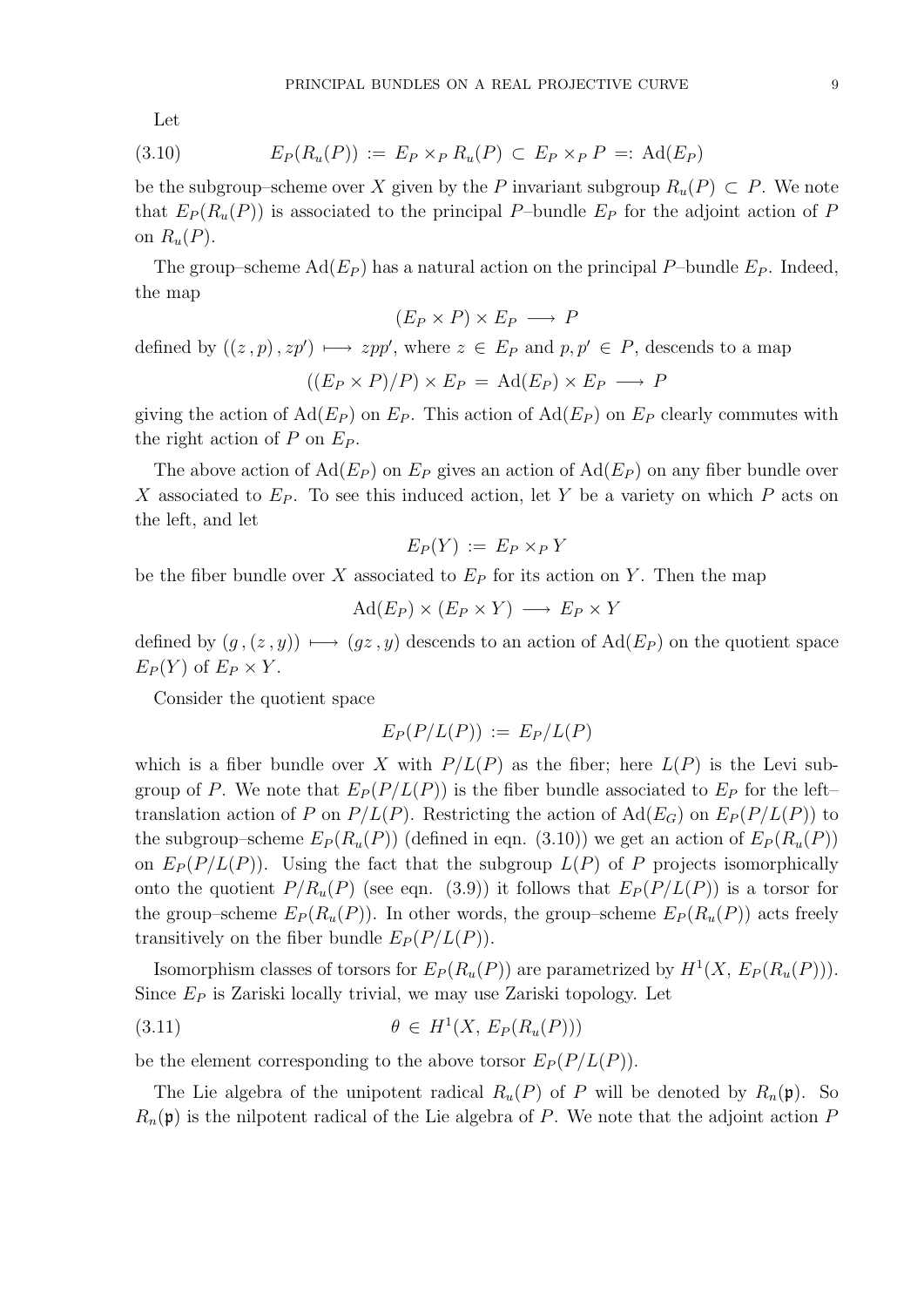Let

$$
(3.10) \tEP(Ru(P)) := EP \timesP Ru(P) \subset EP \timesP P =: \text{Ad}(EP)
$$

be the subgroup–scheme over X given by the P invariant subgroup  $R_u(P) \subset P$ . We note that  $E_P(R_u(P))$  is associated to the principal P–bundle  $E_P$  for the adjoint action of P on  $R_u(P)$ .

The group–scheme  $\text{Ad}(E_P)$  has a natural action on the principal P–bundle  $E_P$ . Indeed, the map

$$
(E_P \times P) \times E_P \longrightarrow P
$$

defined by  $((z, p), zp') \mapsto zpp'$ , where  $z \in E_P$  and  $p, p' \in P$ , descends to a map

$$
((E_P \times P)/P) \times E_P = \text{Ad}(E_P) \times E_P \longrightarrow P
$$

giving the action of  $\text{Ad}(E_P)$  on  $E_P$ . This action of  $\text{Ad}(E_P)$  on  $E_P$  clearly commutes with the right action of  $P$  on  $E_P$ .

The above action of  $\text{Ad}(E_P)$  on  $E_P$  gives an action of  $\text{Ad}(E_P)$  on any fiber bundle over X associated to  $E_P$ . To see this induced action, let Y be a variety on which P acts on the left, and let

$$
E_P(Y) := E_P \times_P Y
$$

be the fiber bundle over X associated to  $E_P$  for its action on Y. Then the map

$$
\mathrm{Ad}(E_P)\times (E_P\times Y)\,\longrightarrow\, E_P\times Y
$$

defined by  $(g, (z, y)) \mapsto (gz, y)$  descends to an action of Ad(E<sub>P</sub>) on the quotient space  $E_P(Y)$  of  $E_P \times Y$ .

Consider the quotient space

$$
E_P(P/L(P)) := E_P/L(P)
$$

which is a fiber bundle over X with  $P/L(P)$  as the fiber; here  $L(P)$  is the Levi subgroup of P. We note that  $E_P(P/L(P))$  is the fiber bundle associated to  $E_P$  for the lefttranslation action of P on  $P/L(P)$ . Restricting the action of  $\text{Ad}(E_G)$  on  $E_P(P/L(P))$  to the subgroup–scheme  $E_P(R_u(P))$  (defined in eqn. (3.10)) we get an action of  $E_P(R_u(P))$ on  $E_P(P/L(P))$ . Using the fact that the subgroup  $L(P)$  of P projects isomorphically onto the quotient  $P/R_u(P)$  (see eqn. (3.9)) it follows that  $E_P(P/L(P))$  is a torsor for the group–scheme  $E_P(R_u(P))$ . In other words, the group–scheme  $E_P(R_u(P))$  acts freely transitively on the fiber bundle  $E_P(P/L(P)).$ 

Isomorphism classes of torsors for  $E_P(R_u(P))$  are parametrized by  $H^1(X, E_P(R_u(P)))$ . Since  $E_P$  is Zariski locally trivial, we may use Zariski topology. Let

$$
(3.11) \qquad \theta \in H^1(X, E_P(R_u(P)))
$$

be the element corresponding to the above torsor  $E_P(P/L(P))$ .

The Lie algebra of the unipotent radical  $R_u(P)$  of P will be denoted by  $R_n(\mathfrak{p})$ . So  $R_n(\mathfrak{p})$  is the nilpotent radical of the Lie algebra of P. We note that the adjoint action P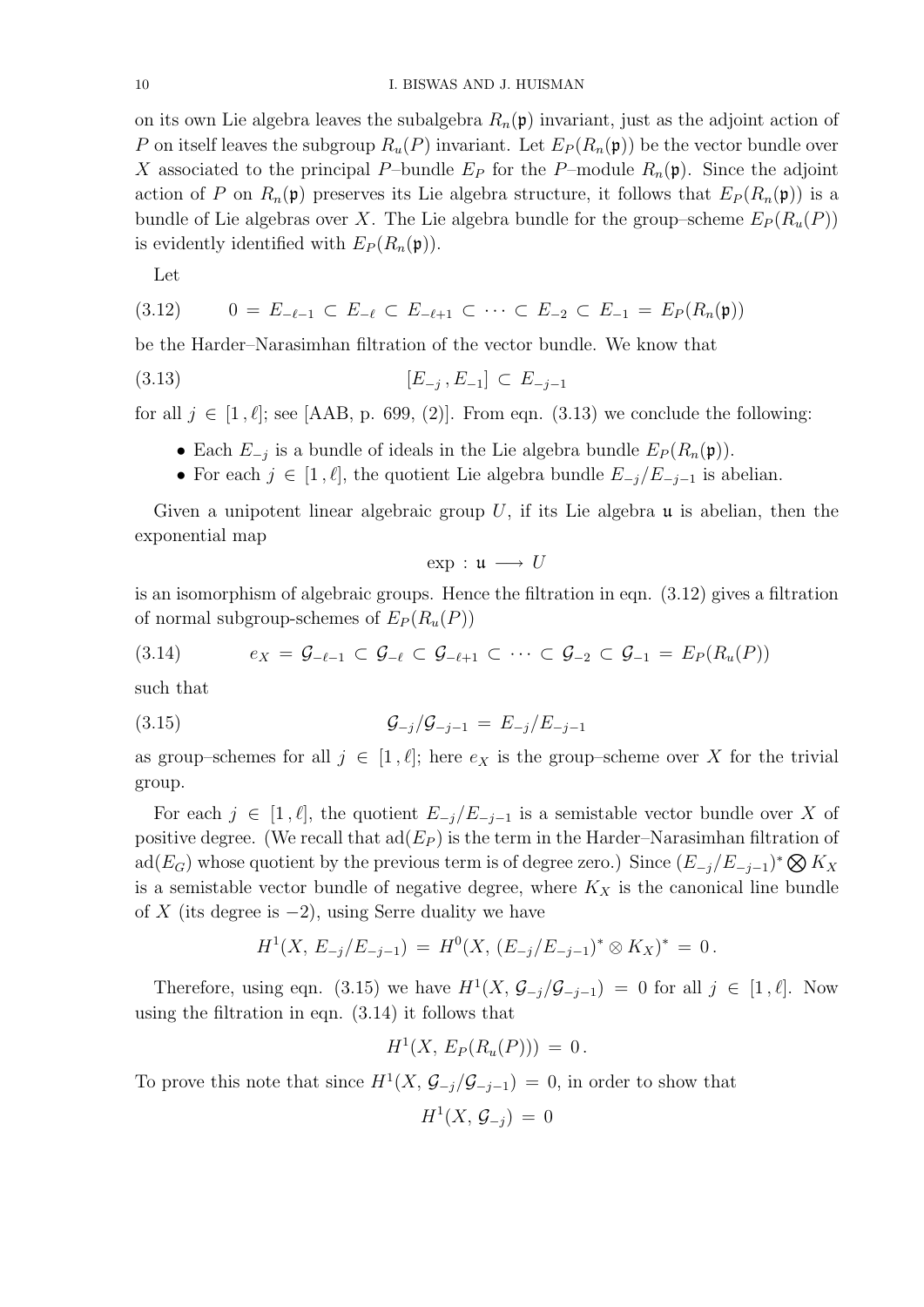on its own Lie algebra leaves the subalgebra  $R_n(\mathfrak{p})$  invariant, just as the adjoint action of P on itself leaves the subgroup  $R_u(P)$  invariant. Let  $E_P(R_n(\mathfrak{p}))$  be the vector bundle over X associated to the principal P–bundle  $E_P$  for the P–module  $R_n(\mathfrak{p})$ . Since the adjoint action of P on  $R_n(\mathfrak{p})$  preserves its Lie algebra structure, it follows that  $E_P(R_n(\mathfrak{p}))$  is a bundle of Lie algebras over X. The Lie algebra bundle for the group–scheme  $E_P(R_u(P))$ is evidently identified with  $E_P(R_n(\mathfrak{p}))$ .

Let

$$
(3.12) \qquad 0 = E_{-\ell-1} \subset E_{-\ell} \subset E_{-\ell+1} \subset \cdots \subset E_{-2} \subset E_{-1} = E_P(R_n(\mathfrak{p}))
$$

be the Harder–Narasimhan filtration of the vector bundle. We know that

$$
[E_{-j}, E_{-1}] \subset E_{-j-1}
$$

for all  $j \in [1, \ell]$ ; see [AAB, p. 699, (2)]. From eqn. (3.13) we conclude the following:

- Each  $E_{-j}$  is a bundle of ideals in the Lie algebra bundle  $E_P(R_n(\mathfrak{p}))$ .
- For each  $j \in [1, \ell]$ , the quotient Lie algebra bundle  $E_{-j}/E_{-j-1}$  is abelian.

Given a unipotent linear algebraic group  $U$ , if its Lie algebra  $\mu$  is abelian, then the exponential map

 $\exp : \mathfrak{u} \longrightarrow U$ 

is an isomorphism of algebraic groups. Hence the filtration in eqn. (3.12) gives a filtration of normal subgroup-schemes of  $E_P(R_u(P))$ 

$$
(3.14) \qquad e_X = \mathcal{G}_{-\ell-1} \subset \mathcal{G}_{-\ell} \subset \mathcal{G}_{-\ell+1} \subset \cdots \subset \mathcal{G}_{-2} \subset \mathcal{G}_{-1} = E_P(R_u(P))
$$

such that

(3.15) 
$$
\mathcal{G}_{-j}/\mathcal{G}_{-j-1} = E_{-j}/E_{-j-1}
$$

as group–schemes for all  $j \in [1, \ell];$  here  $e_X$  is the group–scheme over X for the trivial group.

For each  $j \in [1, \ell],$  the quotient  $E_{-j}/E_{-j-1}$  is a semistable vector bundle over X of positive degree. (We recall that  $\text{ad}(E_P)$  is the term in the Harder–Narasimhan filtration of ad( $E_G$ ) whose quotient by the previous term is of degree zero.) Since  $(E_{-j}/E_{-j-1})^* \bigotimes K_X$ is a semistable vector bundle of negative degree, where  $K_X$  is the canonical line bundle of X (its degree is  $-2$ ), using Serre duality we have

$$
H^1(X, E_{-j}/E_{-j-1}) = H^0(X, (E_{-j}/E_{-j-1})^* \otimes K_X)^* = 0.
$$

Therefore, using eqn. (3.15) we have  $H^1(X, \mathcal{G}_{-j}/\mathcal{G}_{-j-1}) = 0$  for all  $j \in [1, \ell]$ . Now using the filtration in eqn. (3.14) it follows that

$$
H^1(X, E_P(R_u(P))) = 0.
$$

To prove this note that since  $H^1(X, \mathcal{G}_{-j}/\mathcal{G}_{-j-1}) = 0$ , in order to show that

$$
H^1(X,\, \mathcal{G}_{-j})\,=\, 0
$$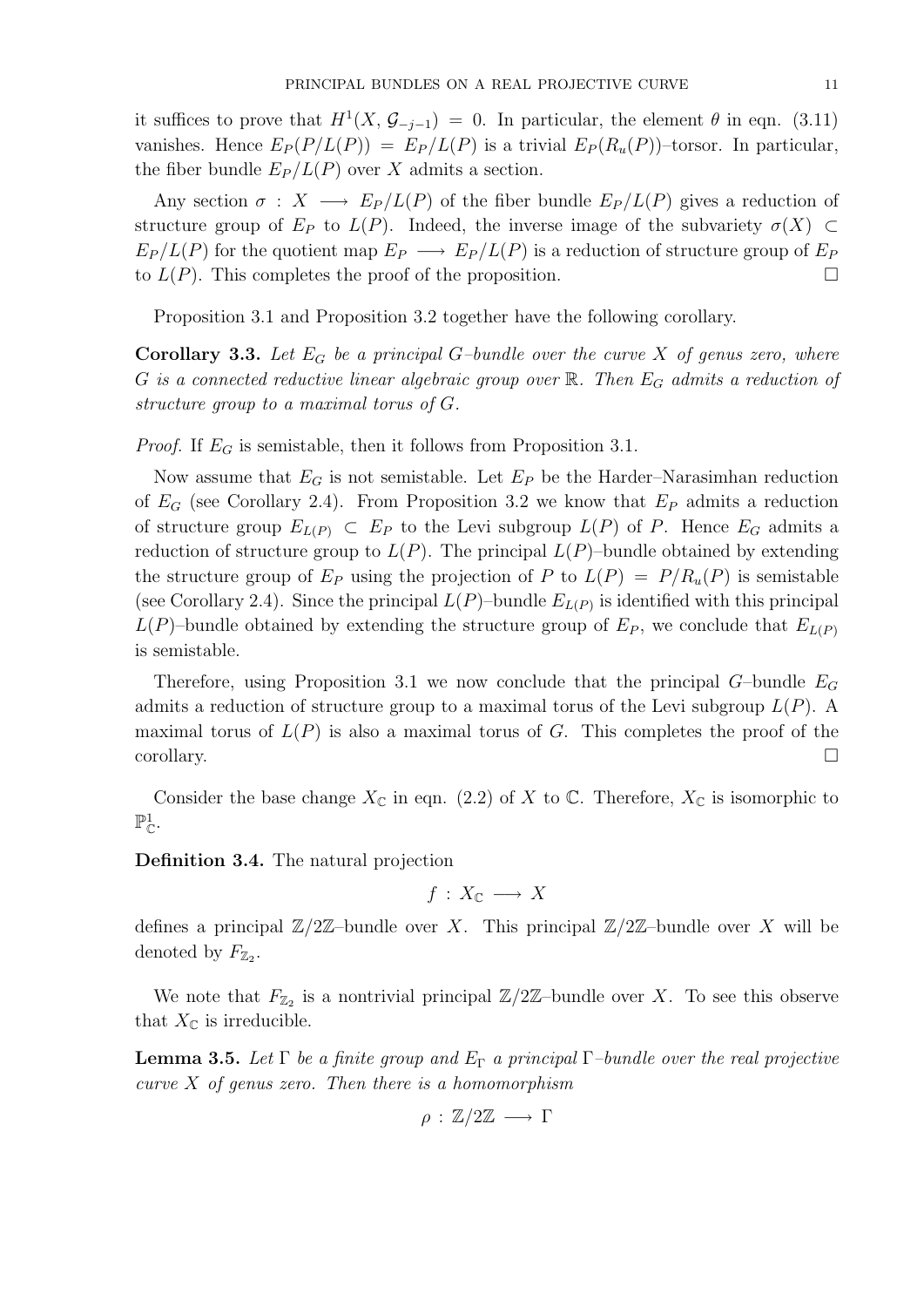it suffices to prove that  $H^1(X, \mathcal{G}_{-j-1}) = 0$ . In particular, the element  $\theta$  in eqn. (3.11) vanishes. Hence  $E_P(P/L(P)) = E_P/L(P)$  is a trivial  $E_P(R_u(P))$ -torsor. In particular, the fiber bundle  $E_P/L(P)$  over X admits a section.

Any section  $\sigma : X \longrightarrow E_P/L(P)$  of the fiber bundle  $E_P/L(P)$  gives a reduction of structure group of  $E_P$  to  $L(P)$ . Indeed, the inverse image of the subvariety  $\sigma(X) \subset$  $E_P/L(P)$  for the quotient map  $E_P \longrightarrow E_P/L(P)$  is a reduction of structure group of  $E_P$ to  $L(P)$ . This completes the proof of the proposition.

Proposition 3.1 and Proposition 3.2 together have the following corollary.

**Corollary 3.3.** Let  $E_G$  be a principal G-bundle over the curve X of genus zero, where G is a connected reductive linear algebraic group over  $\mathbb{R}$ . Then  $E_G$  admits a reduction of structure group to a maximal torus of G.

*Proof.* If  $E_G$  is semistable, then it follows from Proposition 3.1.

Now assume that  $E_G$  is not semistable. Let  $E_P$  be the Harder–Narasimhan reduction of  $E_G$  (see Corollary 2.4). From Proposition 3.2 we know that  $E_P$  admits a reduction of structure group  $E_{L(P)} \subset E_P$  to the Levi subgroup  $L(P)$  of P. Hence  $E_G$  admits a reduction of structure group to  $L(P)$ . The principal  $L(P)$ –bundle obtained by extending the structure group of  $E_P$  using the projection of P to  $L(P) = P/R_u(P)$  is semistable (see Corollary 2.4). Since the principal  $L(P)$ -bundle  $E_{L(P)}$  is identified with this principal  $L(P)$ –bundle obtained by extending the structure group of  $E_P$ , we conclude that  $E_{L(P)}$ is semistable.

Therefore, using Proposition 3.1 we now conclude that the principal  $G$ -bundle  $E_G$ admits a reduction of structure group to a maximal torus of the Levi subgroup  $L(P)$ . A maximal torus of  $L(P)$  is also a maximal torus of G. This completes the proof of the corollary.

Consider the base change  $X_{\mathbb{C}}$  in eqn. (2.2) of X to  $\mathbb{C}$ . Therefore,  $X_{\mathbb{C}}$  is isomorphic to  $\mathbb{P}^1_{\mathbb{C}}.$ 

Definition 3.4. The natural projection

 $f : X_{\mathbb{C}} \longrightarrow X$ 

defines a principal  $\mathbb{Z}/2\mathbb{Z}$ -bundle over X. This principal  $\mathbb{Z}/2\mathbb{Z}$ -bundle over X will be denoted by  $F_{\mathbb{Z}_2}$ .

We note that  $F_{\mathbb{Z}_2}$  is a nontrivial principal  $\mathbb{Z}/2\mathbb{Z}$ -bundle over X. To see this observe that  $X_{\mathbb{C}}$  is irreducible.

**Lemma 3.5.** Let  $\Gamma$  be a finite group and  $E_{\Gamma}$  a principal  $\Gamma$ -bundle over the real projective curve  $X$  of genus zero. Then there is a homomorphism

$$
\rho : \mathbb{Z}/2\mathbb{Z} \longrightarrow \Gamma
$$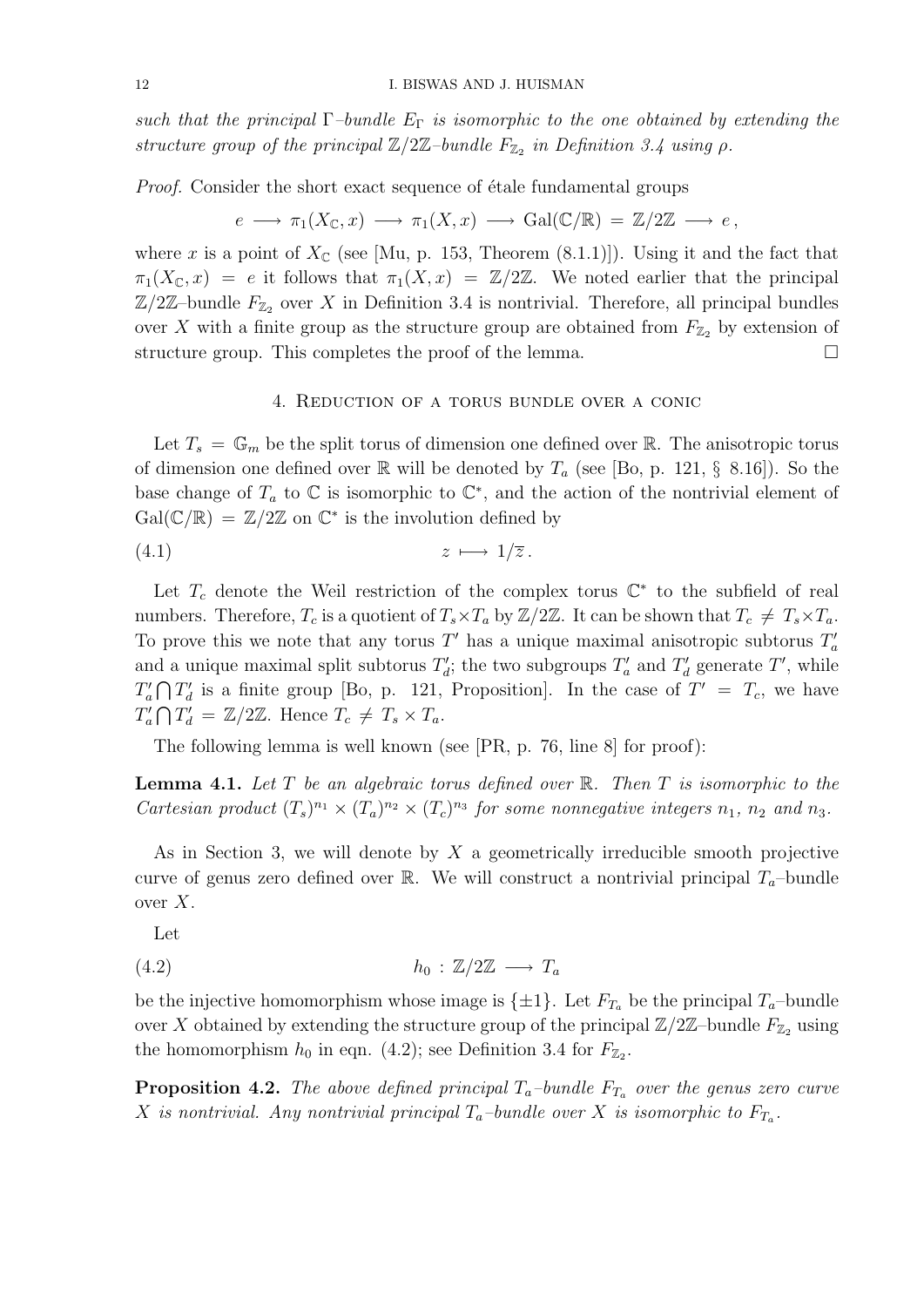such that the principal  $\Gamma$ -bundle  $E_{\Gamma}$  is isomorphic to the one obtained by extending the structure group of the principal  $\mathbb{Z}/2\mathbb{Z}$ -bundle  $F_{\mathbb{Z}_2}$  in Definition 3.4 using  $\rho$ .

*Proof.* Consider the short exact sequence of étale fundamental groups

$$
e \longrightarrow \pi_1(X_{\mathbb{C}}, x) \longrightarrow \pi_1(X, x) \longrightarrow \text{Gal}(\mathbb{C}/\mathbb{R}) = \mathbb{Z}/2\mathbb{Z} \longrightarrow e,
$$

where x is a point of  $X_{\mathbb{C}}$  (see [Mu, p. 153, Theorem (8.1.1)]). Using it and the fact that  $\pi_1(X_{\mathbb{C}}, x) = e$  it follows that  $\pi_1(X, x) = \mathbb{Z}/2\mathbb{Z}$ . We noted earlier that the principal  $\mathbb{Z}/2\mathbb{Z}$ -bundle  $F_{\mathbb{Z}_2}$  over X in Definition 3.4 is nontrivial. Therefore, all principal bundles over X with a finite group as the structure group are obtained from  $F_{\mathbb{Z}_2}$  by extension of structure group. This completes the proof of the lemma.

## 4. Reduction of a torus bundle over a conic

Let  $T_s = \mathbb{G}_m$  be the split torus of dimension one defined over R. The anisotropic torus of dimension one defined over  $\mathbb R$  will be denoted by  $T_a$  (see [Bo, p. 121, § 8.16]). So the base change of  $T_a$  to  $\mathbb C$  is isomorphic to  $\mathbb C^*$ , and the action of the nontrivial element of  $Gal(\mathbb{C}/\mathbb{R}) = \mathbb{Z}/2\mathbb{Z}$  on  $\mathbb{C}^*$  is the involution defined by

$$
(4.1) \t\t z \mapsto 1/\overline{z}.
$$

Let  $T_c$  denote the Weil restriction of the complex torus  $\mathbb{C}^*$  to the subfield of real numbers. Therefore,  $T_c$  is a quotient of  $T_s \times T_a$  by  $\mathbb{Z}/2\mathbb{Z}$ . It can be shown that  $T_c \neq T_s \times T_a$ . To prove this we note that any torus T' has a unique maximal anisotropic subtorus  $T_a'$ and a unique maximal split subtorus  $T_d$ ; the two subgroups  $T_a$  and  $T_d$  generate T', while  $T_a' \cap T_d'$  is a finite group [Bo, p. 121, Proposition]. In the case of  $T' = T_c$ , we have  $T_a' \bigcap T_d' = \mathbb{Z}/2\mathbb{Z}$ . Hence  $T_c \neq T_s \times T_a$ .

The following lemma is well known (see [PR, p. 76, line 8] for proof):

**Lemma 4.1.** Let T be an algebraic torus defined over  $\mathbb{R}$ . Then T is isomorphic to the Cartesian product  $(T_s)^{n_1} \times (T_a)^{n_2} \times (T_c)^{n_3}$  for some nonnegative integers  $n_1$ ,  $n_2$  and  $n_3$ .

As in Section 3, we will denote by  $X$  a geometrically irreducible smooth projective curve of genus zero defined over R. We will construct a nontrivial principal  $T_a$ -bundle over  $X$ .

Let

$$
(4.2) \t\t\t\t\t h_0: \mathbb{Z}/2\mathbb{Z} \longrightarrow T_a
$$

be the injective homomorphism whose image is  $\{\pm 1\}$ . Let  $F_{T_a}$  be the principal  $T_a$ -bundle over X obtained by extending the structure group of the principal  $\mathbb{Z}/2\mathbb{Z}$ –bundle  $F_{\mathbb{Z}}$  using the homomorphism  $h_0$  in eqn. (4.2); see Definition 3.4 for  $F_{\mathbb{Z}_2}$ .

**Proposition 4.2.** The above defined principal  $T_a$ -bundle  $F_{T_a}$  over the genus zero curve X is nontrivial. Any nontrivial principal  $T_a$ -bundle over X is isomorphic to  $F_{T_a}$ .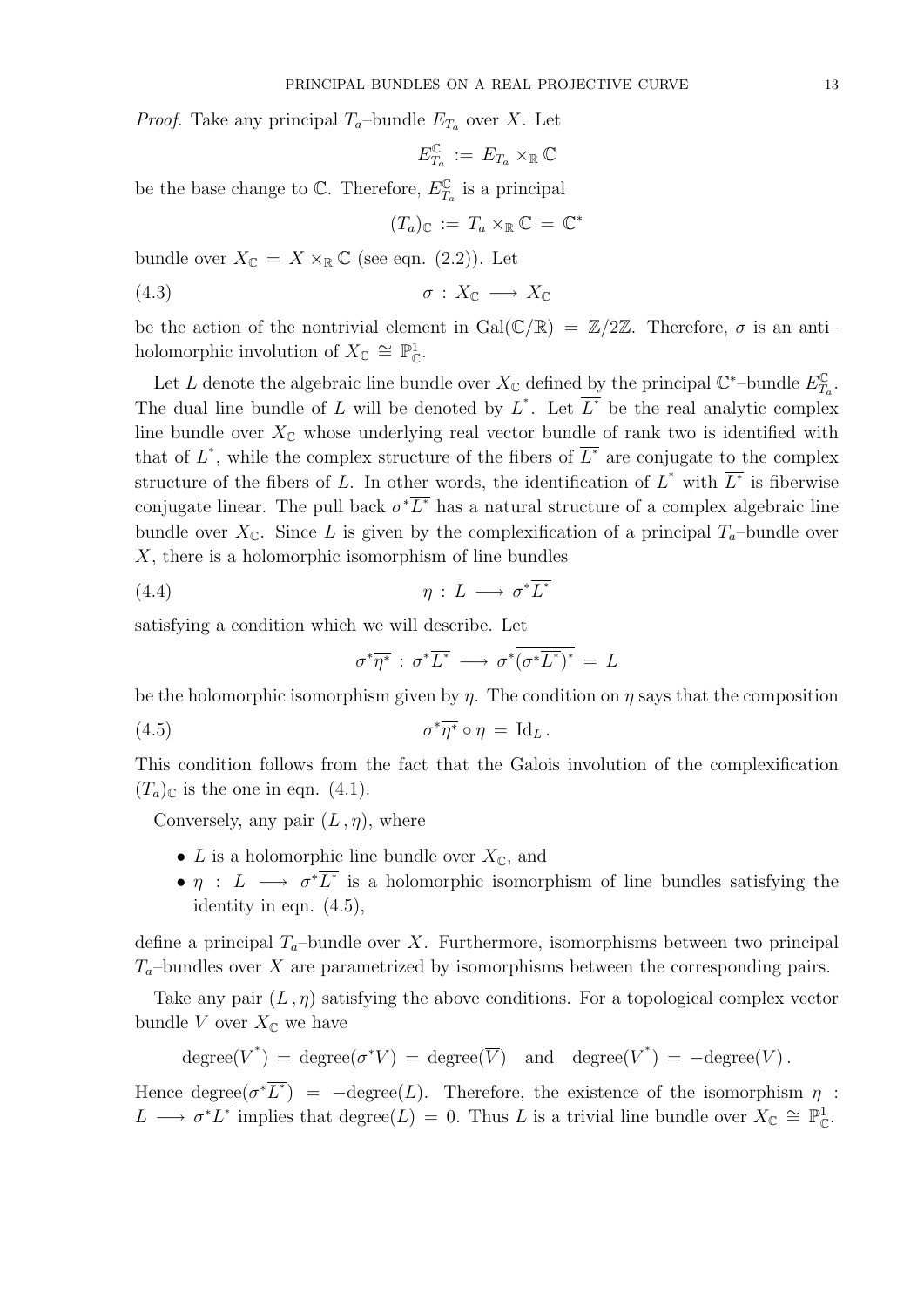*Proof.* Take any principal  $T_a$ -bundle  $E_{T_a}$  over X. Let

$$
E_{T_a}^{\mathbb{C}}\;:=\;E_{T_a}\times_{\mathbb{R}}\mathbb{C}
$$

be the base change to  $\mathbb{C}$ . Therefore,  $E_T^{\mathbb{C}}$  $T_a$  is a principal

$$
(T_a)_{\mathbb{C}} := T_a \times_{\mathbb{R}} \mathbb{C} = \mathbb{C}^*
$$

bundle over  $X_{\mathbb{C}} = X \times_{\mathbb{R}} \mathbb{C}$  (see eqn. (2.2)). Let

$$
\sigma: X_{\mathbb{C}} \longrightarrow X_{\mathbb{C}}
$$

be the action of the nontrivial element in  $Gal(\mathbb{C}/\mathbb{R}) = \mathbb{Z}/2\mathbb{Z}$ . Therefore,  $\sigma$  is an antiholomorphic involution of  $X_{\mathbb{C}} \cong \mathbb{P}^1_{\mathbb{C}}$ .

Let L denote the algebraic line bundle over  $X_{\mathbb{C}}$  defined by the principal  $\mathbb{C}^*$ -bundle  $E_{\mathcal{L}}^{\mathbb{C}}$  $\frac{C}{T_a}$  . The dual line bundle of L will be denoted by  $L^*$ . Let  $\overline{L^*}$  be the real analytic complex line bundle over  $X_{\mathbb{C}}$  whose underlying real vector bundle of rank two is identified with that of  $L^*$ , while the complex structure of the fibers of  $\overline{L^*}$  are conjugate to the complex structure of the fibers of L. In other words, the identification of  $L^*$  with  $\overline{L^*}$  is fiberwise conjugate linear. The pull back  $\sigma^* \overline{L^*}$  has a natural structure of a complex algebraic line bundle over  $X_{\mathbb{C}}$ . Since L is given by the complexification of a principal  $T_a$ -bundle over  $X$ , there is a holomorphic isomorphism of line bundles

$$
(4.4) \t\t \eta: L \longrightarrow \sigma^* \overline{L^*}
$$

satisfying a condition which we will describe. Let

$$
\sigma^*\overline{\eta^*} : \sigma^*\overline{L^*} \longrightarrow \sigma^*\overline{(\sigma^*\overline{L^*})^*} = L
$$

be the holomorphic isomorphism given by  $\eta$ . The condition on  $\eta$  says that the composition

(4.5) 
$$
\sigma^* \overline{\eta^*} \circ \eta = \mathrm{Id}_L.
$$

This condition follows from the fact that the Galois involution of the complexification  $(T_a)_{\mathbb{C}}$  is the one in eqn. (4.1).

Conversely, any pair  $(L, \eta)$ , where

- L is a holomorphic line bundle over  $X_{\mathbb{C}}$ , and
- $\eta$ :  $L \longrightarrow \sigma^* \overline{L^*}$  is a holomorphic isomorphism of line bundles satisfying the identity in eqn. (4.5),

define a principal  $T_a$ -bundle over X. Furthermore, isomorphisms between two principal  $T_a$ -bundles over X are parametrized by isomorphisms between the corresponding pairs.

Take any pair  $(L, \eta)$  satisfying the above conditions. For a topological complex vector bundle V over  $X_{\mathbb{C}}$  we have

$$
degree(V^*) = degree(\sigma^* V) = degree(\overline{V}) \text{ and } degree(V^*) = -degree(V).
$$

Hence degree $(\sigma^* \overline{L^*})$  =  $-\text{degree}(L)$ . Therefore, the existence of the isomorphism  $\eta$ :  $L \longrightarrow \sigma^* \overline{L^*}$  implies that degree $(L) = 0$ . Thus L is a trivial line bundle over  $X_{\mathbb{C}} \cong \mathbb{P}^1_{\mathbb{C}}$ .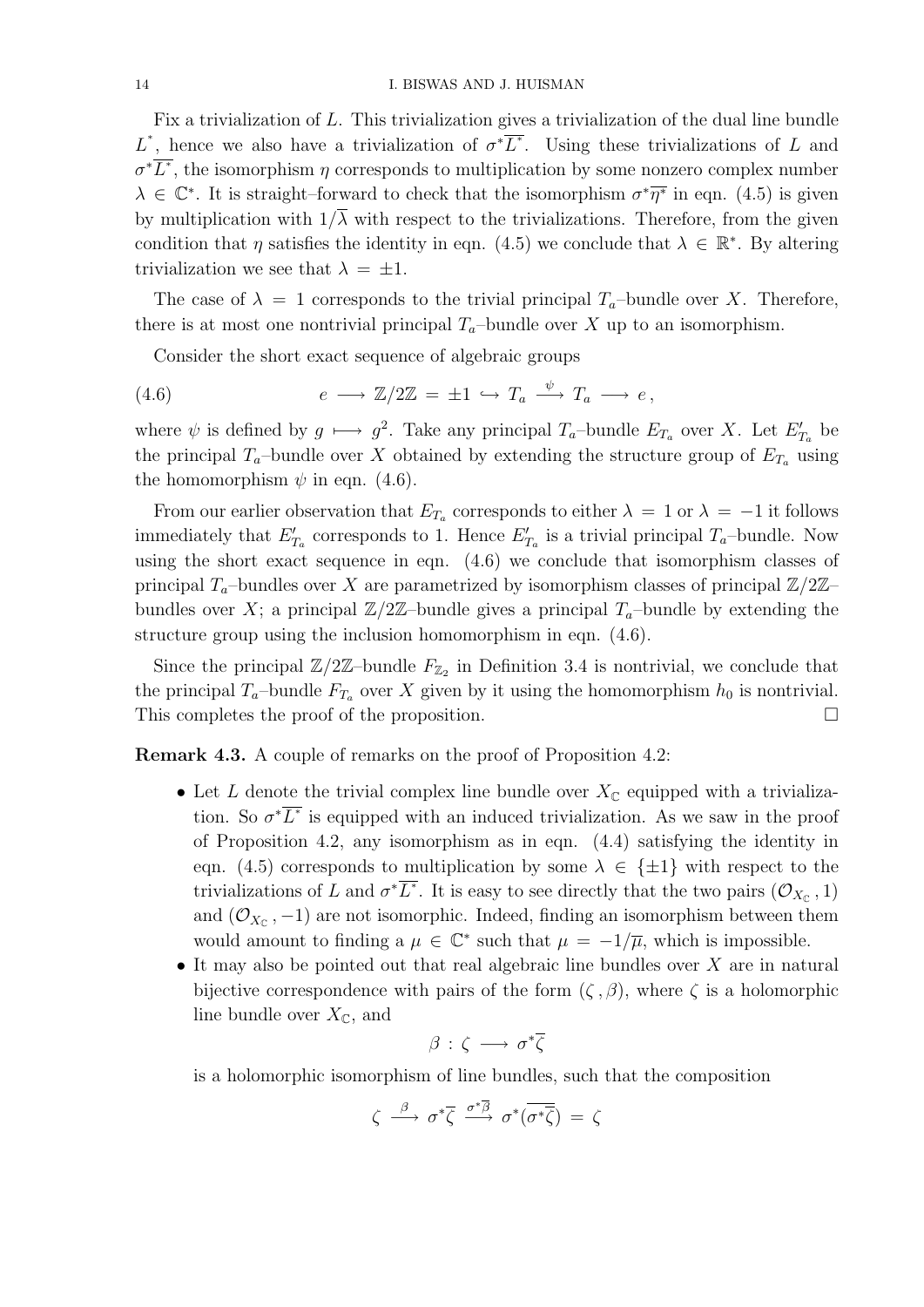Fix a trivialization of L. This trivialization gives a trivialization of the dual line bundle L<sup>\*</sup>, hence we also have a trivialization of  $\sigma^*\overline{L^*}$ . Using these trivializations of L and  $\sigma^* \overline{L^*}$ , the isomorphism  $\eta$  corresponds to multiplication by some nonzero complex number  $\lambda \in \mathbb{C}^*$ . It is straight–forward to check that the isomorphism  $\sigma^* \overline{\eta^*}$  in eqn. (4.5) is given by multiplication with  $1/\overline{\lambda}$  with respect to the trivializations. Therefore, from the given condition that  $\eta$  satisfies the identity in eqn. (4.5) we conclude that  $\lambda \in \mathbb{R}^*$ . By altering trivialization we see that  $\lambda = \pm 1$ .

The case of  $\lambda = 1$  corresponds to the trivial principal  $T_a$ -bundle over X. Therefore, there is at most one nontrivial principal  $T_a$ -bundle over X up to an isomorphism.

Consider the short exact sequence of algebraic groups

(4.6) 
$$
e \longrightarrow \mathbb{Z}/2\mathbb{Z} = \pm 1 \hookrightarrow T_a \stackrel{\psi}{\longrightarrow} T_a \longrightarrow e,
$$

where  $\psi$  is defined by  $g \mapsto g^2$ . Take any principal  $T_a$ -bundle  $E_{T_a}$  over X. Let  $E'_{T_a}$  be the principal  $T_a$ -bundle over X obtained by extending the structure group of  $E_{T_a}$  using the homomorphism  $\psi$  in eqn. (4.6).

From our earlier observation that  $E_{T_a}$  corresponds to either  $\lambda = 1$  or  $\lambda = -1$  it follows immediately that  $E'_{T_a}$  corresponds to 1. Hence  $E'_{T_a}$  is a trivial principal  $T_a$ -bundle. Now using the short exact sequence in eqn. (4.6) we conclude that isomorphism classes of principal  $T_a$ -bundles over X are parametrized by isomorphism classes of principal  $\mathbb{Z}/2\mathbb{Z}$ bundles over X; a principal  $\mathbb{Z}/2\mathbb{Z}$ -bundle gives a principal  $T_a$ -bundle by extending the structure group using the inclusion homomorphism in eqn. (4.6).

Since the principal  $\mathbb{Z}/2\mathbb{Z}$ -bundle  $F_{\mathbb{Z}_2}$  in Definition 3.4 is nontrivial, we conclude that the principal  $T_a$ -bundle  $F_{T_a}$  over X given by it using the homomorphism  $h_0$  is nontrivial. This completes the proof of the proposition.

Remark 4.3. A couple of remarks on the proof of Proposition 4.2:

- Let L denote the trivial complex line bundle over  $X_{\mathbb{C}}$  equipped with a trivialization. So  $\sigma^* \overline{L^*}$  is equipped with an induced trivialization. As we saw in the proof of Proposition 4.2, any isomorphism as in eqn. (4.4) satisfying the identity in eqn. (4.5) corresponds to multiplication by some  $\lambda \in \{\pm 1\}$  with respect to the trivializations of L and  $\sigma^*\overline{L^*}$ . It is easy to see directly that the two pairs  $(\mathcal{O}_{X_{\mathbb{C}}}, 1)$ and  $(\mathcal{O}_{X_{\mathbb{C}}}, -1)$  are not isomorphic. Indeed, finding an isomorphism between them would amount to finding a  $\mu \in \mathbb{C}^*$  such that  $\mu = -1/\overline{\mu}$ , which is impossible.
- It may also be pointed out that real algebraic line bundles over  $X$  are in natural bijective correspondence with pairs of the form  $(\zeta, \beta)$ , where  $\zeta$  is a holomorphic line bundle over  $X_{\mathbb{C}}$ , and

$$
\beta\,:\,\zeta\,\longrightarrow\,\sigma^*\overline{\zeta}
$$

is a holomorphic isomorphism of line bundles, such that the composition

$$
\zeta \stackrel{\beta}{\longrightarrow} \sigma^*\overline{\zeta} \stackrel{\sigma^*\overline{\beta}}{\longrightarrow} \sigma^*(\overline{\sigma^*\overline{\zeta}}) = \zeta
$$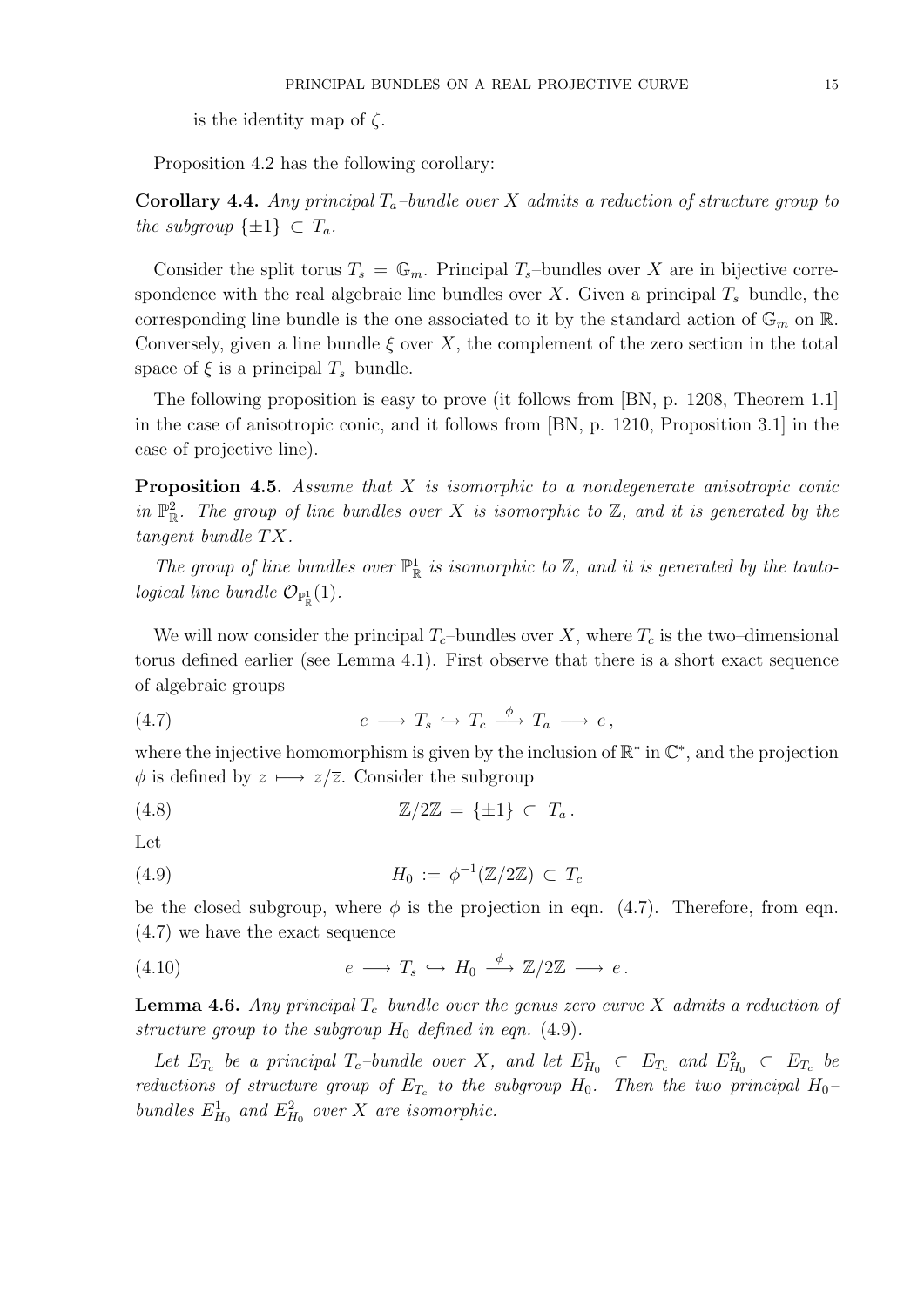is the identity map of  $\zeta$ .

Proposition 4.2 has the following corollary:

Corollary 4.4. Any principal  $T_a$ -bundle over X admits a reduction of structure group to the subgroup  $\{\pm 1\} \subset T_a$ .

Consider the split torus  $T_s = \mathbb{G}_m$ . Principal  $T_s$ -bundles over X are in bijective correspondence with the real algebraic line bundles over X. Given a principal  $T_s$ –bundle, the corresponding line bundle is the one associated to it by the standard action of  $\mathbb{G}_m$  on  $\mathbb{R}$ . Conversely, given a line bundle  $\xi$  over X, the complement of the zero section in the total space of  $\xi$  is a principal  $T_s$ –bundle.

The following proposition is easy to prove (it follows from [BN, p. 1208, Theorem 1.1] in the case of anisotropic conic, and it follows from [BN, p. 1210, Proposition 3.1] in the case of projective line).

**Proposition 4.5.** Assume that  $X$  is isomorphic to a nondegenerate anisotropic conic in  $\mathbb{P}^2_{\mathbb{R}}$ . The group of line bundles over X is isomorphic to Z, and it is generated by the  $tangent\ bundle\ TX.$ 

The group of line bundles over  $\mathbb{P}^1_{\mathbb{R}}$  is isomorphic to  $\mathbb{Z}$ , and it is generated by the tautological line bundle  $\mathcal{O}_{\mathbb{P}^1_{\mathbb{R}}}(1)$ .

We will now consider the principal  $T_c$ -bundles over X, where  $T_c$  is the two–dimensional torus defined earlier (see Lemma 4.1). First observe that there is a short exact sequence of algebraic groups

$$
(4.7) \t\t e \longrightarrow T_s \hookrightarrow T_c \xrightarrow{\phi} T_a \longrightarrow e,
$$

where the injective homomorphism is given by the inclusion of  $\mathbb{R}^*$  in  $\mathbb{C}^*$ , and the projection  $\phi$  is defined by  $z \mapsto z/\overline{z}$ . Consider the subgroup

$$
\mathbb{Z}/2\mathbb{Z} = {\pm 1} \subset T_a.
$$

Let

$$
(4.9) \t\t\t H_0 := \phi^{-1}(\mathbb{Z}/2\mathbb{Z}) \subset T_c
$$

be the closed subgroup, where  $\phi$  is the projection in eqn. (4.7). Therefore, from eqn. (4.7) we have the exact sequence

$$
(4.10) \t\t e \longrightarrow T_s \hookrightarrow H_0 \xrightarrow{\phi} \mathbb{Z}/2\mathbb{Z} \longrightarrow e.
$$

**Lemma 4.6.** Any principal  $T_c$ -bundle over the genus zero curve X admits a reduction of structure group to the subgroup  $H_0$  defined in eqn. (4.9).

Let  $E_{T_c}$  be a principal  $T_c$ -bundle over X, and let  $E_{H_0}^1$   $\subset$   $E_{T_c}$  and  $E_{H_0}^2$   $\subset$   $E_{T_c}$  be reductions of structure group of  $E_{T_c}$  to the subgroup  $H_0$ . Then the two principal  $H_0$ bundles  $E_{H_0}^1$  and  $E_{H_0}^2$  over X are isomorphic.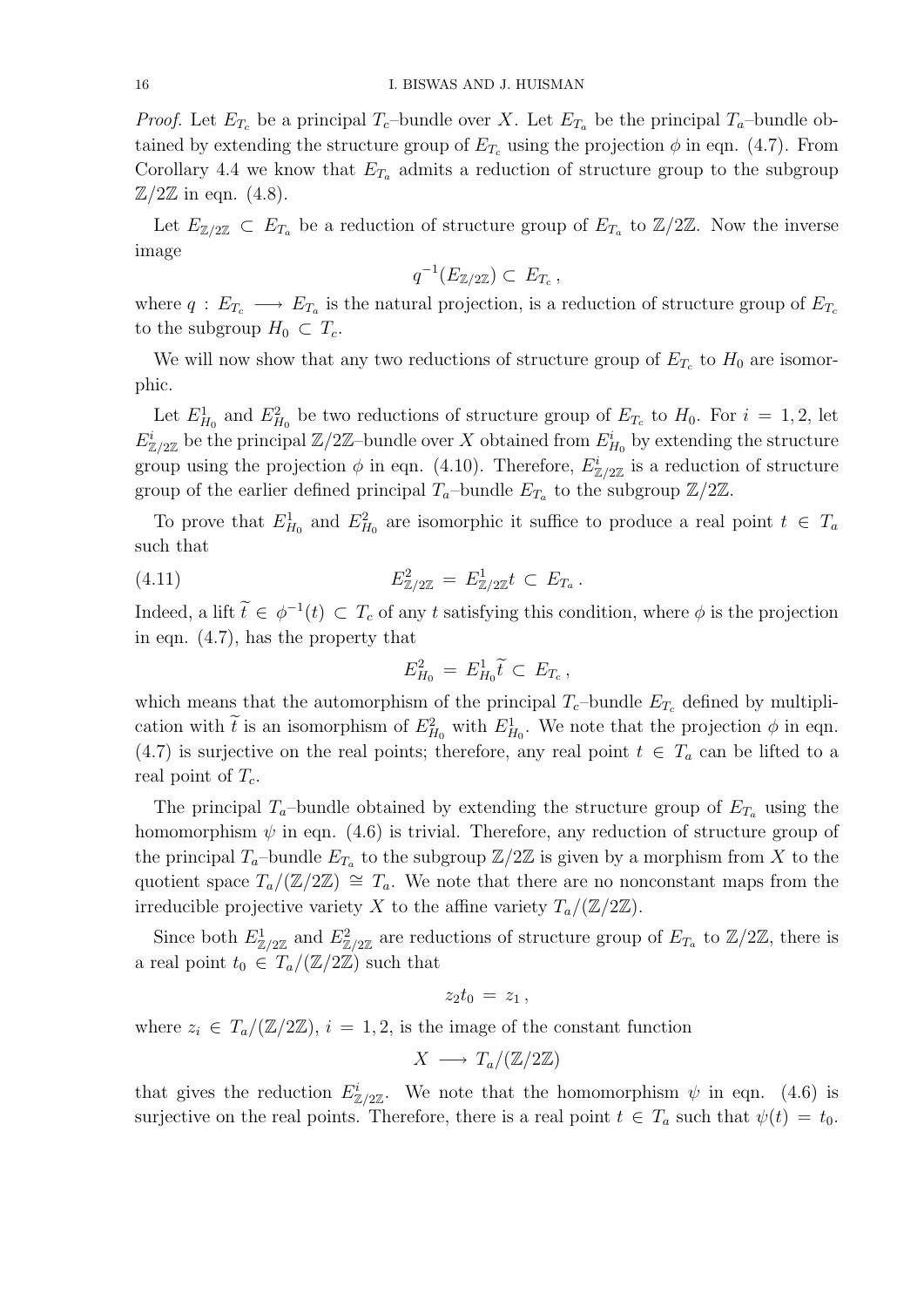*Proof.* Let  $E_{T_c}$  be a principal  $T_c$ -bundle over X. Let  $E_{T_a}$  be the principal  $T_a$ -bundle obtained by extending the structure group of  $E_{T_c}$  using the projection  $\phi$  in eqn. (4.7). From Corollary 4.4 we know that  $E_{T_a}$  admits a reduction of structure group to the subgroup  $\mathbb{Z}/2\mathbb{Z}$  in eqn. (4.8).

Let  $E_{\mathbb{Z}/2\mathbb{Z}} \subset E_{T_a}$  be a reduction of structure group of  $E_{T_a}$  to  $\mathbb{Z}/2\mathbb{Z}$ . Now the inverse image

$$
q^{-1}(E_{\mathbb{Z}/2\mathbb{Z}})\subset E_{T_c},
$$

where  $q: E_{T_c} \longrightarrow E_{T_a}$  is the natural projection, is a reduction of structure group of  $E_{T_c}$ to the subgroup  $H_0 \subset T_c$ .

We will now show that any two reductions of structure group of  $E_{T_c}$  to  $H_0$  are isomorphic.

Let  $E_{H_0}^1$  and  $E_{H_0}^2$  be two reductions of structure group of  $E_{T_c}$  to  $H_0$ . For  $i = 1, 2$ , let  $E_{\mathbb{Z}/2\mathbb{Z}}^i$  be the principal  $\mathbb{Z}/2\mathbb{Z}$ -bundle over X obtained from  $E_{H_0}^i$  by extending the structure group using the projection  $\phi$  in eqn. (4.10). Therefore,  $E_{\mathbb{Z}/2\mathbb{Z}}^{i}$  is a reduction of structure group of the earlier defined principal  $T_a$ -bundle  $E_{T_a}$  to the subgroup  $\mathbb{Z}/2\mathbb{Z}$ .

To prove that  $E_{H_0}^1$  and  $E_{H_0}^2$  are isomorphic it suffice to produce a real point  $t \in T_a$ such that

(4.11) 
$$
E_{\mathbb{Z}/2\mathbb{Z}}^2 = E_{\mathbb{Z}/2\mathbb{Z}}^1 t \subset E_{T_a}.
$$

Indeed, a lift  $\tilde{t} \in \phi^{-1}(t) \subset T_c$  of any t satisfying this condition, where  $\phi$  is the projection in eqn. (4.7), has the property that

$$
E_{H_0}^2 = E_{H_0}^1 \widetilde{t} \subset E_{T_c},
$$

which means that the automorphism of the principal  $T_c$ -bundle  $E_{T_c}$  defined by multiplication with  $\tilde{t}$  is an isomorphism of  $E_{H_0}^2$  with  $E_{H_0}^1$ . We note that the projection  $\phi$  in eqn. (4.7) is surjective on the real points; therefore, any real point  $t \in T_a$  can be lifted to a real point of  $T_c$ .

The principal  $T_a$ -bundle obtained by extending the structure group of  $E_{T_a}$  using the homomorphism  $\psi$  in eqn. (4.6) is trivial. Therefore, any reduction of structure group of the principal  $T_a$ -bundle  $E_{T_a}$  to the subgroup  $\mathbb{Z}/2\mathbb{Z}$  is given by a morphism from X to the quotient space  $T_a/(\mathbb{Z}/2\mathbb{Z}) \cong T_a$ . We note that there are no nonconstant maps from the irreducible projective variety X to the affine variety  $T_a/(\mathbb{Z}/2\mathbb{Z})$ .

Since both  $E_{\mathbb{Z}/2\mathbb{Z}}^1$  and  $E_{\mathbb{Z}/2\mathbb{Z}}^2$  are reductions of structure group of  $E_{T_a}$  to  $\mathbb{Z}/2\mathbb{Z}$ , there is a real point  $t_0 \in T_a/(\mathbb{Z}/2\mathbb{Z})$  such that

$$
z_2t_0 = z_1,
$$

where  $z_i \in T_a/(\mathbb{Z}/2\mathbb{Z}), i = 1, 2$ , is the image of the constant function

$$
X \longrightarrow T_a/(\mathbb{Z}/2\mathbb{Z})
$$

that gives the reduction  $E_{\mathbb{Z}/2\mathbb{Z}}^i$ . We note that the homomorphism  $\psi$  in eqn. (4.6) is surjective on the real points. Therefore, there is a real point  $t \in T_a$  such that  $\psi(t) = t_0$ .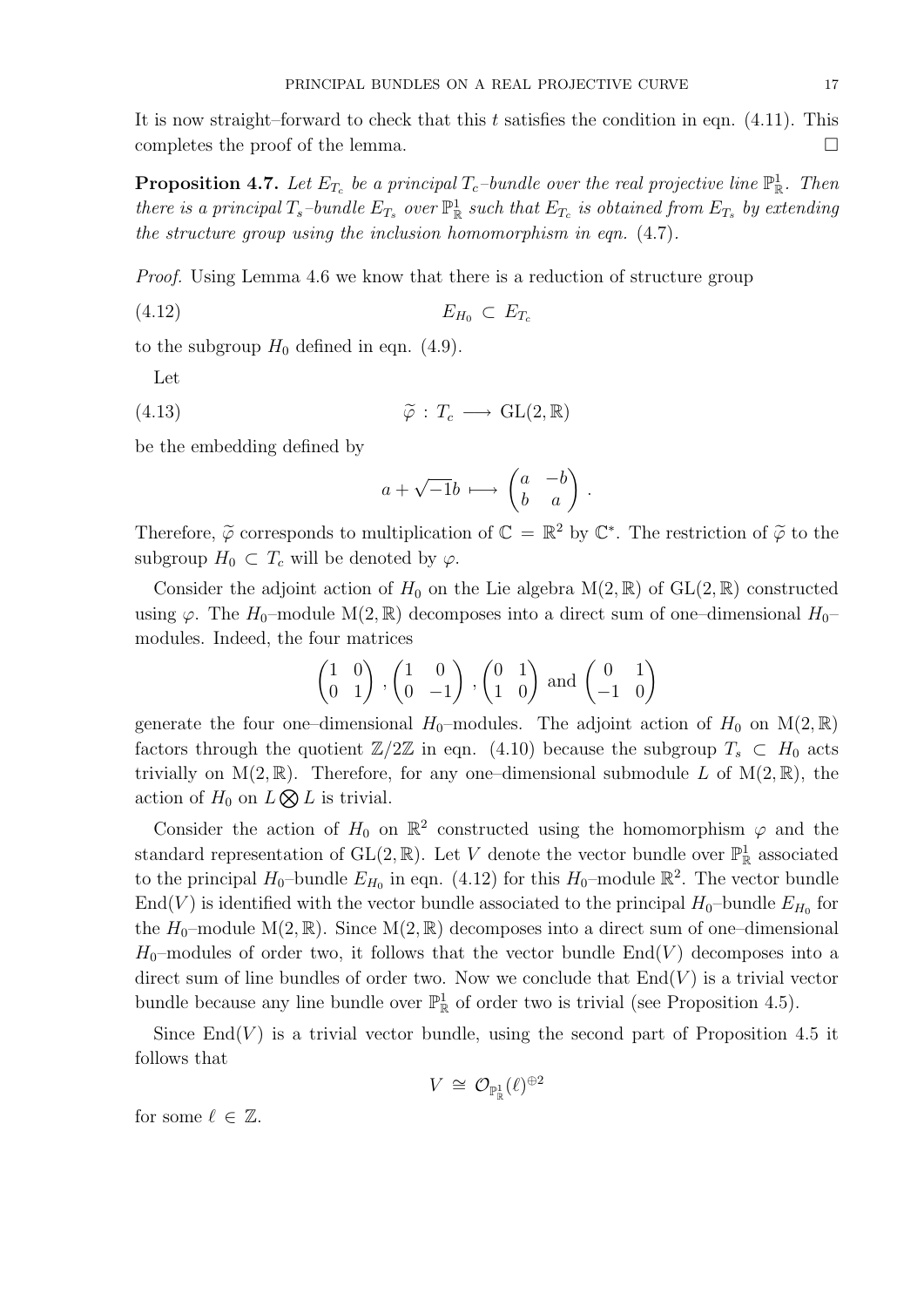It is now straight–forward to check that this t satisfies the condition in eqn.  $(4.11)$ . This completes the proof of the lemma.  $\Box$ 

**Proposition 4.7.** Let  $E_{T_c}$  be a principal  $T_c$ -bundle over the real projective line  $\mathbb{P}^1_{\mathbb{R}}$ . Then there is a principal  $T_s$ -bundle  $E_{T_s}$  over  $\mathbb{P}^1_{\mathbb{R}}$  such that  $E_{T_c}$  is obtained from  $E_{T_s}$  by extending the structure group using the inclusion homomorphism in eqn. (4.7).

Proof. Using Lemma 4.6 we know that there is a reduction of structure group

$$
(4.12) \t\t\t E_{H_0} \subset E_{T_c}
$$

to the subgroup  $H_0$  defined in eqn. (4.9).

Let

(4.13) 
$$
\widetilde{\varphi}: T_c \longrightarrow \text{GL}(2,\mathbb{R})
$$

be the embedding defined by

$$
a + \sqrt{-1}b \, \longmapsto \, \begin{pmatrix} a & -b \\ b & a \end{pmatrix} \, .
$$

Therefore,  $\tilde{\varphi}$  corresponds to multiplication of  $\mathbb{C} = \mathbb{R}^2$  by  $\mathbb{C}^*$ . The restriction of  $\tilde{\varphi}$  to the subgroup  $H_0 \subset T_c$  will be denoted by  $\varphi$ .

Consider the adjoint action of  $H_0$  on the Lie algebra  $M(2,\mathbb{R})$  of  $GL(2,\mathbb{R})$  constructed using  $\varphi$ . The H<sub>0</sub>–module M(2, R) decomposes into a direct sum of one–dimensional H<sub>0</sub>– modules. Indeed, the four matrices

$$
\begin{pmatrix} 1 & 0 \ 0 & 1 \end{pmatrix}, \begin{pmatrix} 1 & 0 \ 0 & -1 \end{pmatrix}, \begin{pmatrix} 0 & 1 \ 1 & 0 \end{pmatrix} \text{ and } \begin{pmatrix} 0 & 1 \ -1 & 0 \end{pmatrix}
$$

generate the four one–dimensional  $H_0$ –modules. The adjoint action of  $H_0$  on  $M(2,\mathbb{R})$ factors through the quotient  $\mathbb{Z}/2\mathbb{Z}$  in eqn. (4.10) because the subgroup  $T_s \subset H_0$  acts trivially on  $M(2,\mathbb{R})$ . Therefore, for any one–dimensional submodule L of  $M(2,\mathbb{R})$ , the action of  $H_0$  on  $L \otimes L$  is trivial.

Consider the action of  $H_0$  on  $\mathbb{R}^2$  constructed using the homomorphism  $\varphi$  and the standard representation of  $GL(2,\mathbb{R})$ . Let V denote the vector bundle over  $\mathbb{P}^1_{\mathbb{R}}$  associated to the principal  $H_0$ -bundle  $E_{H_0}$  in eqn. (4.12) for this  $H_0$ -module  $\mathbb{R}^2$ . The vector bundle  $\text{End}(V)$  is identified with the vector bundle associated to the principal  $H_0$ -bundle  $E_{H_0}$  for the  $H_0$ -module  $M(2,\mathbb{R})$ . Since  $M(2,\mathbb{R})$  decomposes into a direct sum of one-dimensional  $H_0$ -modules of order two, it follows that the vector bundle  $End(V)$  decomposes into a direct sum of line bundles of order two. Now we conclude that  $End(V)$  is a trivial vector bundle because any line bundle over  $\mathbb{P}^1_{\mathbb{R}}$  of order two is trivial (see Proposition 4.5).

Since  $\text{End}(V)$  is a trivial vector bundle, using the second part of Proposition 4.5 it follows that

$$
V\,\cong\, \mathcal{O}_{\mathbb{P}_{\mathbb{R}}^{1}}(\ell)^{\oplus 2}
$$

for some  $\ell \in \mathbb{Z}$ .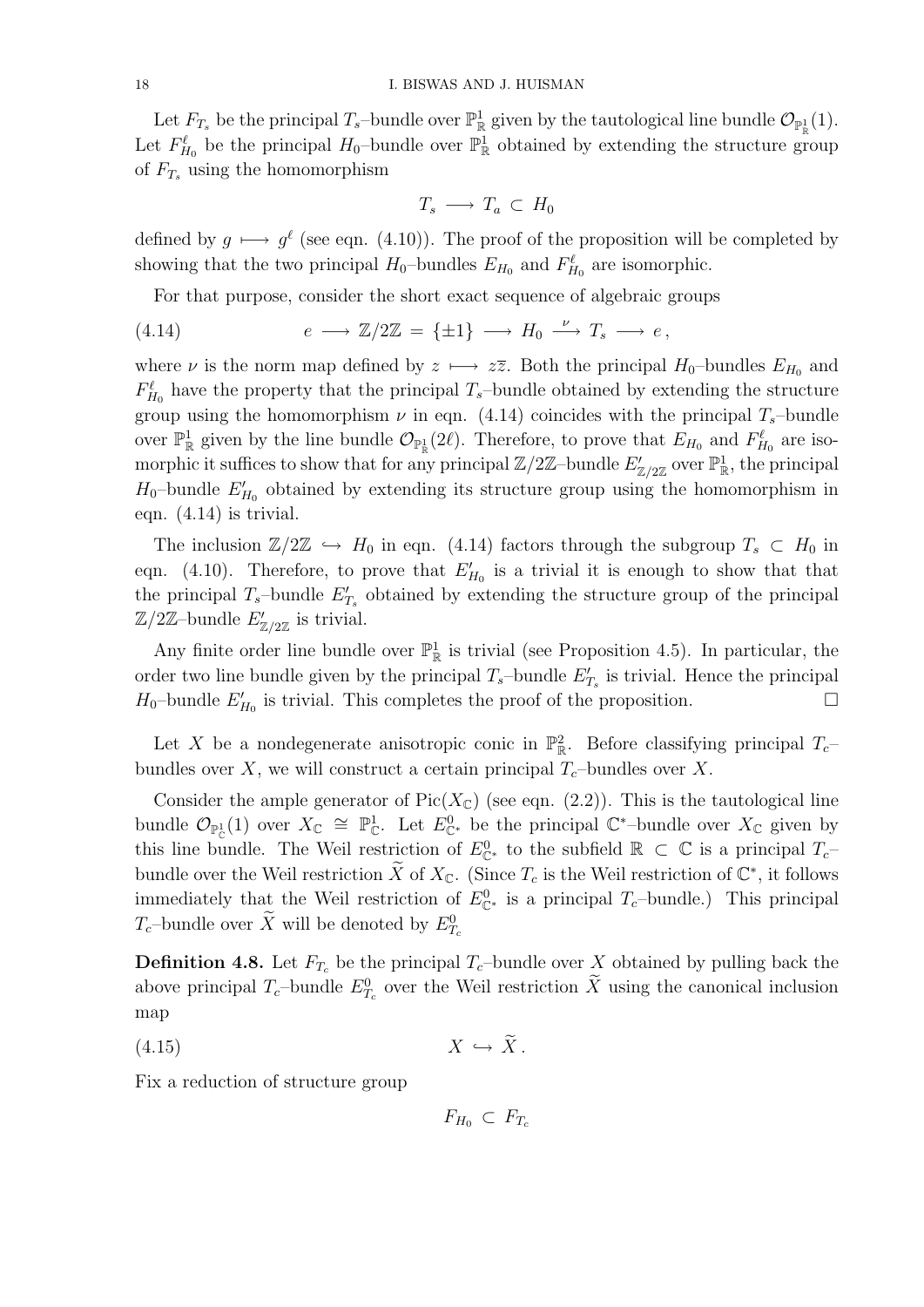Let  $F_{T_s}$  be the principal  $T_s$ -bundle over  $\mathbb{P}^1_{\mathbb{R}}$  given by the tautological line bundle  $\mathcal{O}_{\mathbb{P}^1_{\mathbb{R}}}(1)$ . Let  $F_{H_0}^{\ell}$  be the principal  $H_0$ -bundle over  $\mathbb{P}^1_{\mathbb{R}}$  obtained by extending the structure group of  $F_{T_s}$  using the homomorphism

$$
T_s \longrightarrow T_a \subset H_0
$$

defined by  $g \mapsto g^{\ell}$  (see eqn. (4.10)). The proof of the proposition will be completed by showing that the two principal  $H_0$ -bundles  $E_{H_0}$  and  $F_{H_0}^{\ell}$  are isomorphic.

For that purpose, consider the short exact sequence of algebraic groups

(4.14) 
$$
e \longrightarrow \mathbb{Z}/2\mathbb{Z} = {\pm 1} \longrightarrow H_0 \stackrel{\nu}{\longrightarrow} T_s \longrightarrow e,
$$

where  $\nu$  is the norm map defined by  $z \mapsto z\overline{z}$ . Both the principal  $H_0$ –bundles  $E_{H_0}$  and  $F_{H_0}^{\ell}$  have the property that the principal  $T_s$ -bundle obtained by extending the structure group using the homomorphism  $\nu$  in eqn. (4.14) coincides with the principal  $T_s$ -bundle over  $\mathbb{P}^1_{\mathbb{R}}$  given by the line bundle  $\mathcal{O}_{\mathbb{P}^1_{\mathbb{R}}}(2\ell)$ . Therefore, to prove that  $E_{H_0}$  and  $F_{H_0}^{\ell}$  are isomorphic it suffices to show that for any principal  $\mathbb{Z}/2\mathbb{Z}$ -bundle  $E'_{\mathbb{Z}/2\mathbb{Z}}$  over  $\mathbb{P}^1_{\mathbb{R}}$ , the principal  $H_0$ -bundle  $E'_{H_0}$  obtained by extending its structure group using the homomorphism in eqn. (4.14) is trivial.

The inclusion  $\mathbb{Z}/2\mathbb{Z} \hookrightarrow H_0$  in eqn. (4.14) factors through the subgroup  $T_s \subset H_0$  in eqn. (4.10). Therefore, to prove that  $E'_{H_0}$  is a trivial it is enough to show that that the principal  $T_s$ -bundle  $E'_{T_s}$  obtained by extending the structure group of the principal  $\mathbb{Z}/2\mathbb{Z}$ -bundle  $E'_{\mathbb{Z}/2\mathbb{Z}}$  is trivial.

Any finite order line bundle over  $\mathbb{P}^1_{\mathbb{R}}$  is trivial (see Proposition 4.5). In particular, the order two line bundle given by the principal  $T_s$ -bundle  $E'_{T_s}$  is trivial. Hence the principal  $H_0$ -bundle  $E'_{H_0}$  is trivial. This completes the proof of the proposition.

Let X be a nondegenerate anisotropic conic in  $\mathbb{P}^2_{\mathbb{R}}$ . Before classifying principal  $T_c$ bundles over X, we will construct a certain principal  $T_c$ -bundles over X.

Consider the ample generator of  $Pic(X_{\mathbb{C}})$  (see eqn. (2.2)). This is the tautological line bundle  $\mathcal{O}_{\mathbb{P}^1_{\mathbb{C}}}(1)$  over  $X_{\mathbb{C}} \cong \mathbb{P}^1_{\mathbb{C}}$ . Let  $E^0_{\mathbb{C}^*}$  be the principal  $\mathbb{C}^*$ -bundle over  $X_{\mathbb{C}}$  given by this line bundle. The Weil restriction of  $E_{\mathbb{C}^*}^0$  to the subfield  $\mathbb{R} \subset \mathbb{C}$  is a principal  $T_c$ bundle over the Weil restriction  $\widetilde{X}$  of  $X_{\mathbb{C}}$ . (Since  $T_c$  is the Weil restriction of  $\mathbb{C}^*$ , it follows immediately that the Weil restriction of  $E_{\mathbb{C}^*}^0$  is a principal  $T_c$ -bundle.) This principal  $T_c$ -bundle over  $\tilde{X}$  will be denoted by  $E_{T_c}^0$ 

**Definition 4.8.** Let  $F_{T_c}$  be the principal  $T_c$ -bundle over X obtained by pulling back the above principal  $T_c$ -bundle  $E_{T_c}^0$  over the Weil restriction  $\tilde{X}$  using the canonical inclusion map

$$
(4.15) \t\t X \hookrightarrow \tilde{X}.
$$

Fix a reduction of structure group

 $F_{H_0} \subset F_{T_c}$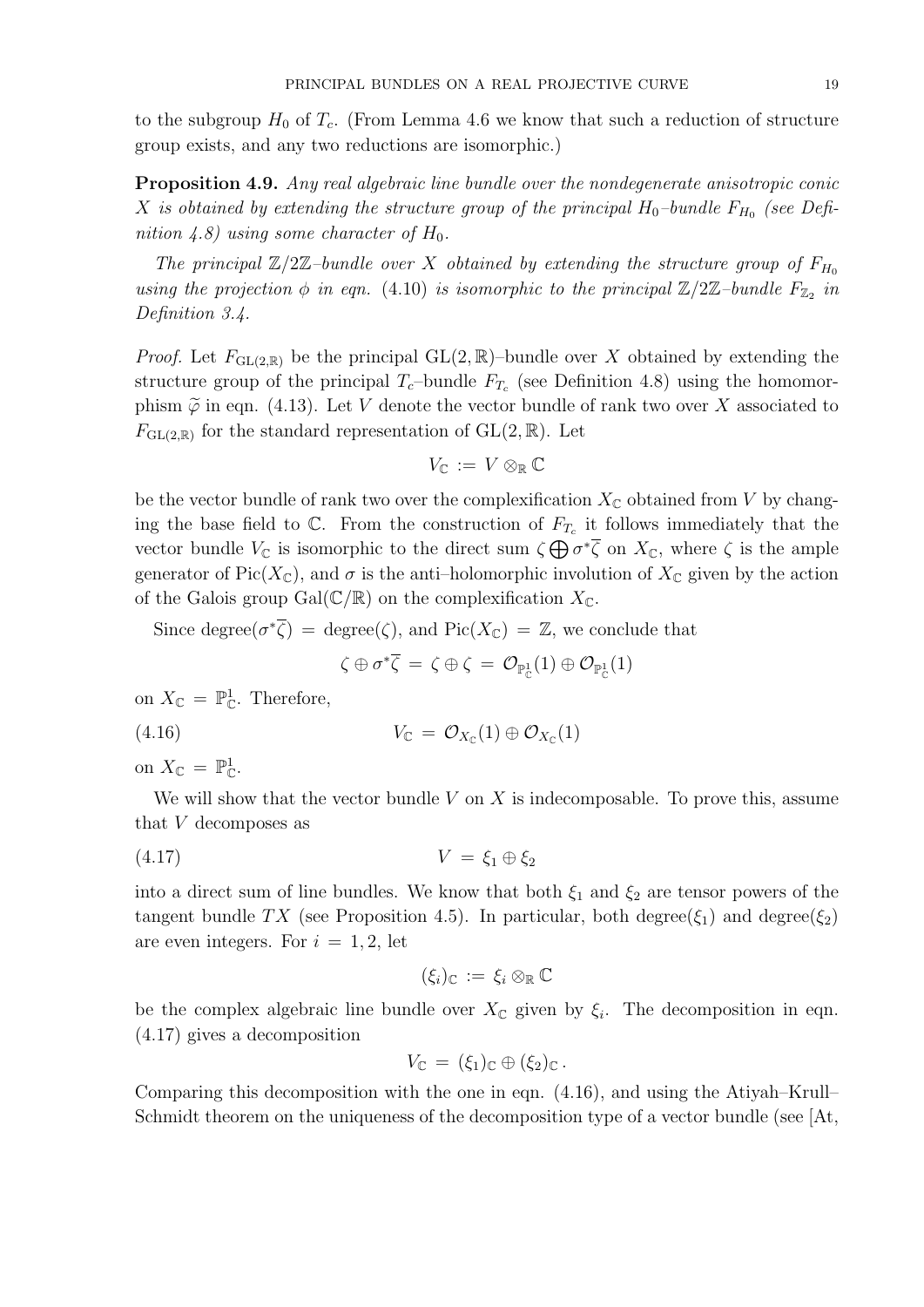to the subgroup  $H_0$  of  $T_c$ . (From Lemma 4.6 we know that such a reduction of structure group exists, and any two reductions are isomorphic.)

Proposition 4.9. Any real algebraic line bundle over the nondegenerate anisotropic conic  $X$  is obtained by extending the structure group of the principal  $H_0$ -bundle  $F_{H_0}$  (see Definition 4.8) using some character of  $H_0$ .

The principal  $\mathbb{Z}/2\mathbb{Z}$ -bundle over X obtained by extending the structure group of  $F_{H_0}$ using the projection  $\phi$  in eqn. (4.10) is isomorphic to the principal  $\mathbb{Z}/2\mathbb{Z}$ -bundle  $F_{\mathbb{Z}_2}$  in Definition 3.4.

*Proof.* Let  $F_{\text{GL}(2,\mathbb{R})}$  be the principal  $\text{GL}(2,\mathbb{R})$ -bundle over X obtained by extending the structure group of the principal  $T_c$ -bundle  $F_{T_c}$  (see Definition 4.8) using the homomorphism  $\tilde{\varphi}$  in eqn. (4.13). Let V denote the vector bundle of rank two over X associated to  $F_{\text{GL}(2,\mathbb{R})}$  for the standard representation of  $\text{GL}(2,\mathbb{R})$ . Let

$$
V_{\mathbb C}\,:=\,V\otimes_{\mathbb R}{\mathbb C}
$$

be the vector bundle of rank two over the complexification  $X_{\mathbb{C}}$  obtained from V by changing the base field to  $\mathbb{C}$ . From the construction of  $F_{T_c}$  it follows immediately that the vector bundle  $V_{\mathbb{C}}$  is isomorphic to the direct sum  $\zeta \bigoplus \sigma^* \overline{\zeta}$  on  $X_{\mathbb{C}}$ , where  $\zeta$  is the ample generator of Pic( $X_{\mathbb{C}}$ ), and  $\sigma$  is the anti-holomorphic involution of  $X_{\mathbb{C}}$  given by the action of the Galois group Gal $(\mathbb{C}/\mathbb{R})$  on the complexification  $X_{\mathbb{C}}$ .

Since degree $(\sigma^*\overline{\zeta})$  = degree $(\zeta)$ , and Pic $(X_{\mathbb{C}}) = \mathbb{Z}$ , we conclude that

$$
\zeta\oplus\sigma^*\overline{\zeta}\,=\,\zeta\oplus\zeta\,=\,\mathcal{O}_{\mathbb{P}_\mathbb{C}^1}(1)\oplus\mathcal{O}_{\mathbb{P}_\mathbb{C}^1}(1)
$$

on  $X_{\mathbb{C}} = \mathbb{P}_{\mathbb{C}}^1$ . Therefore,

(4.16)  $V_{\mathbb{C}} = \mathcal{O}_{X_{\mathbb{C}}}(1) \oplus \mathcal{O}_{X_{\mathbb{C}}}(1)$ 

on  $X_{\mathbb{C}} = \mathbb{P}^1_{\mathbb{C}}$ .

We will show that the vector bundle  $V$  on  $X$  is indecomposable. To prove this, assume that V decomposes as

$$
(4.17) \t\t V = \xi_1 \oplus \xi_2
$$

into a direct sum of line bundles. We know that both  $\xi_1$  and  $\xi_2$  are tensor powers of the tangent bundle TX (see Proposition 4.5). In particular, both degree( $\xi_1$ ) and degree( $\xi_2$ ) are even integers. For  $i = 1, 2$ , let

$$
(\xi_i)_{\mathbb{C}}\,:=\,\xi_i\otimes_{\mathbb{R}}\mathbb{C}
$$

be the complex algebraic line bundle over  $X_{\mathbb{C}}$  given by  $\xi_i$ . The decomposition in eqn. (4.17) gives a decomposition

$$
V_{\mathbb{C}} = (\xi_1)_{\mathbb{C}} \oplus (\xi_2)_{\mathbb{C}}.
$$

Comparing this decomposition with the one in eqn. (4.16), and using the Atiyah–Krull– Schmidt theorem on the uniqueness of the decomposition type of a vector bundle (see [At,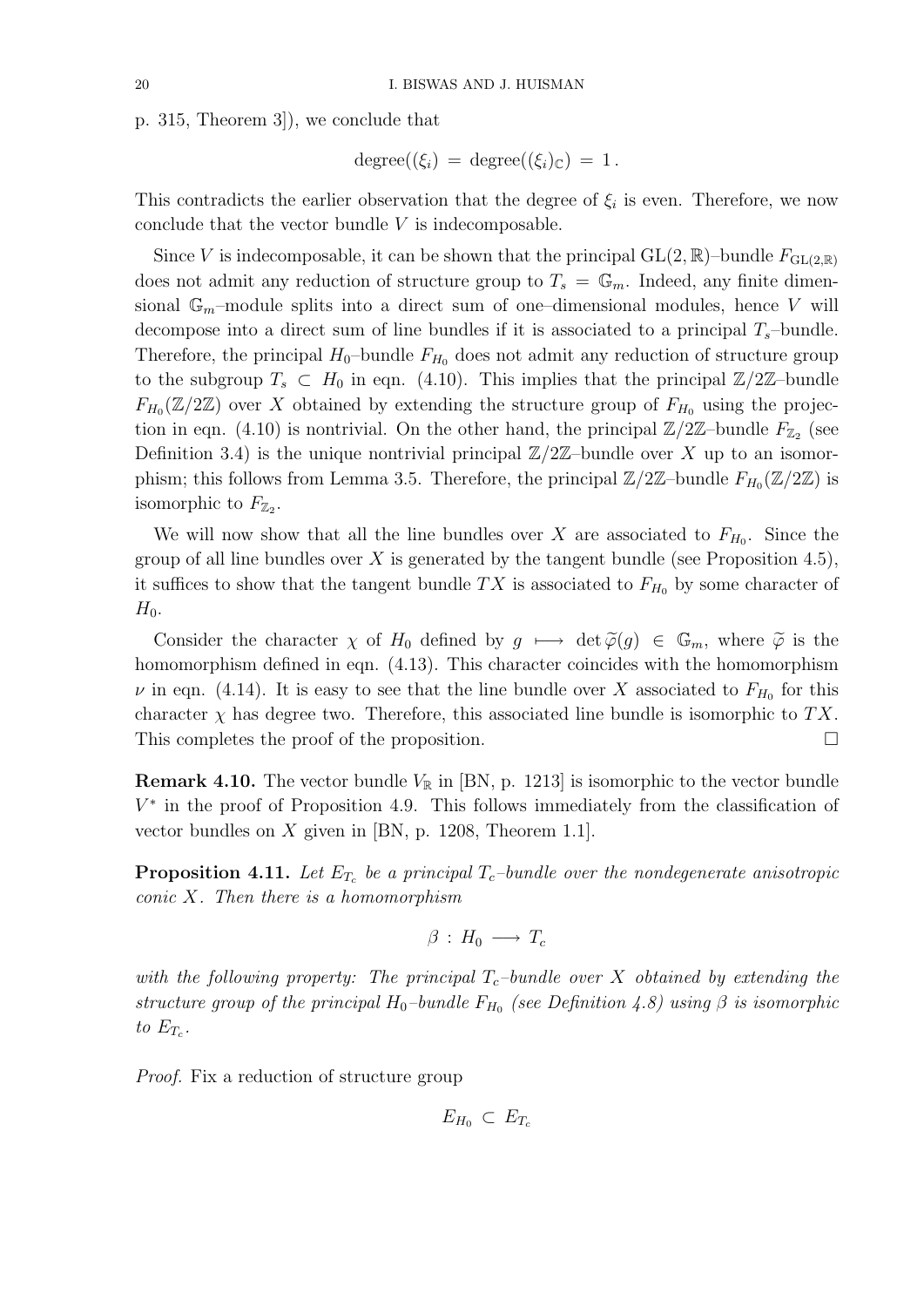p. 315, Theorem 3]), we conclude that

$$
degree((\xi_i) = degree((\xi_i)_{\mathbb{C}}) = 1.
$$

This contradicts the earlier observation that the degree of  $\xi_i$  is even. Therefore, we now conclude that the vector bundle  $V$  is indecomposable.

Since V is indecomposable, it can be shown that the principal  $GL(2,\mathbb{R})$ –bundle  $F_{GL(2,\mathbb{R})}$ does not admit any reduction of structure group to  $T_s = \mathbb{G}_m$ . Indeed, any finite dimensional  $\mathbb{G}_m$ -module splits into a direct sum of one-dimensional modules, hence V will decompose into a direct sum of line bundles if it is associated to a principal  $T_s$ -bundle. Therefore, the principal  $H_0$ -bundle  $F_{H_0}$  does not admit any reduction of structure group to the subgroup  $T_s \subset H_0$  in eqn. (4.10). This implies that the principal  $\mathbb{Z}/2\mathbb{Z}$ -bundle  $F_{H_0}(\mathbb{Z}/2\mathbb{Z})$  over X obtained by extending the structure group of  $F_{H_0}$  using the projection in eqn. (4.10) is nontrivial. On the other hand, the principal  $\mathbb{Z}/2\mathbb{Z}$ -bundle  $F_{\mathbb{Z}_2}$  (see Definition 3.4) is the unique nontrivial principal  $\mathbb{Z}/2\mathbb{Z}$ -bundle over X up to an isomorphism; this follows from Lemma 3.5. Therefore, the principal  $\mathbb{Z}/2\mathbb{Z}$ -bundle  $F_{H_0}(\mathbb{Z}/2\mathbb{Z})$  is isomorphic to  $F_{\mathbb{Z}_2}$ .

We will now show that all the line bundles over X are associated to  $F_{H_0}$ . Since the group of all line bundles over X is generated by the tangent bundle (see Proposition 4.5), it suffices to show that the tangent bundle TX is associated to  $F_{H_0}$  by some character of  $H_0$ .

Consider the character  $\chi$  of  $H_0$  defined by  $g \mapsto \det \widetilde{\varphi}(g) \in \mathbb{G}_m$ , where  $\widetilde{\varphi}$  is the homomorphism defined in eqn. (4.13). This character coincides with the homomorphism  $\nu$  in eqn. (4.14). It is easy to see that the line bundle over X associated to  $F_{H_0}$  for this character  $\chi$  has degree two. Therefore, this associated line bundle is isomorphic to TX. This completes the proof of the proposition.

**Remark 4.10.** The vector bundle  $V_{\mathbb{R}}$  in [BN, p. 1213] is isomorphic to the vector bundle  $V^*$  in the proof of Proposition 4.9. This follows immediately from the classification of vector bundles on  $X$  given in [BN, p. 1208, Theorem 1.1].

**Proposition 4.11.** Let  $E_{T_c}$  be a principal  $T_c$ -bundle over the nondegenerate anisotropic  $conic X$ . Then there is a homomorphism

$$
\beta\,:\,H_0\,\longrightarrow\,T_c
$$

with the following property: The principal  $T_c$ -bundle over X obtained by extending the structure group of the principal  $H_0$ -bundle  $F_{H_0}$  (see Definition 4.8) using  $\beta$  is isomorphic to  $E_{T_c}$ .

Proof. Fix a reduction of structure group

 $E_{H_0} \subset E_{T_c}$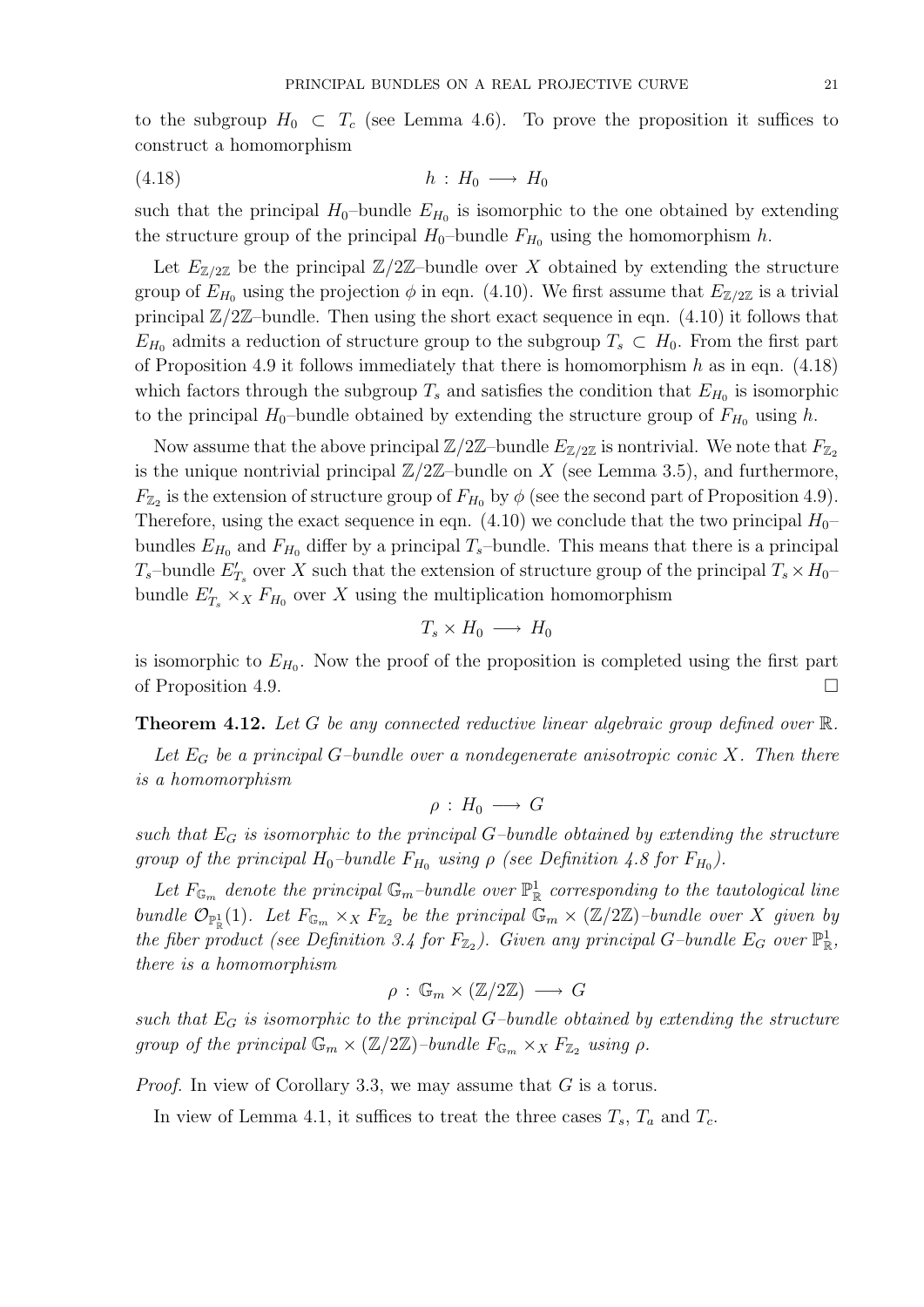to the subgroup  $H_0 \subset T_c$  (see Lemma 4.6). To prove the proposition it suffices to construct a homomorphism

$$
(4.18) \t\t\t\t h: H_0 \longrightarrow H_0
$$

such that the principal  $H_0$ -bundle  $E_{H_0}$  is isomorphic to the one obtained by extending the structure group of the principal  $H_0$ -bundle  $F_{H_0}$  using the homomorphism h.

Let  $E_{\mathbb{Z}/2\mathbb{Z}}$  be the principal  $\mathbb{Z}/2\mathbb{Z}$ -bundle over X obtained by extending the structure group of  $E_{H_0}$  using the projection  $\phi$  in eqn. (4.10). We first assume that  $E_{\mathbb{Z}/2\mathbb{Z}}$  is a trivial principal  $\mathbb{Z}/2\mathbb{Z}$ -bundle. Then using the short exact sequence in eqn. (4.10) it follows that  $E_{H_0}$  admits a reduction of structure group to the subgroup  $T_s \subset H_0$ . From the first part of Proposition 4.9 it follows immediately that there is homomorphism  $h$  as in eqn. (4.18) which factors through the subgroup  $T_s$  and satisfies the condition that  $E_{H_0}$  is isomorphic to the principal  $H_0$ -bundle obtained by extending the structure group of  $F_{H_0}$  using h.

Now assume that the above principal  $\mathbb{Z}/2\mathbb{Z}$ -bundle  $E_{\mathbb{Z}/2\mathbb{Z}}$  is nontrivial. We note that  $F_{\mathbb{Z}_2}$ is the unique nontrivial principal  $\mathbb{Z}/2\mathbb{Z}$ -bundle on X (see Lemma 3.5), and furthermore,  $F_{\mathbb{Z}_2}$  is the extension of structure group of  $F_{H_0}$  by  $\phi$  (see the second part of Proposition 4.9). Therefore, using the exact sequence in eqn. (4.10) we conclude that the two principal  $H_0$ – bundles  $E_{H_0}$  and  $F_{H_0}$  differ by a principal  $T_s$ -bundle. This means that there is a principal  $T_s$ -bundle  $E_{T_s}$  over X such that the extension of structure group of the principal  $T_s \times H_0$ bundle  $E'_{T_s} \times_X F_{H_0}$  over X using the multiplication homomorphism

$$
T_s \times H_0 \longrightarrow H_0
$$

is isomorphic to  $E_{H_0}$ . Now the proof of the proposition is completed using the first part of Proposition 4.9.

**Theorem 4.12.** Let G be any connected reductive linear algebraic group defined over  $\mathbb{R}$ .

Let  $E_G$  be a principal G-bundle over a nondegenerate anisotropic conic X. Then there is a homomorphism

$$
\rho\,:\,H_0\,\longrightarrow\, G
$$

such that  $E_G$  is isomorphic to the principal G-bundle obtained by extending the structure group of the principal  $H_0$ -bundle  $F_{H_0}$  using  $\rho$  (see Definition 4.8 for  $F_{H_0}$ ).

Let  $F_{\mathbb{G}_m}$  denote the principal  $\mathbb{G}_m$ -bundle over  $\mathbb{P}^1_{\mathbb{R}}$  corresponding to the tautological line bundle  $\mathcal{O}_{\mathbb{P}^1_{\mathbb{R}}}(1)$ . Let  $F_{\mathbb{G}_m} \times_X F_{\mathbb{Z}_2}$  be the principal  $\mathbb{G}_m \times (\mathbb{Z}/2\mathbb{Z})$ -bundle over X given by the fiber product (see Definition 3.4 for  $F_{\mathbb{Z}_2}$ ). Given any principal G-bundle  $E_G$  over  $\mathbb{P}^1_{\mathbb{R}}$ , there is a homomorphism

$$
\rho\,:\,\mathbb{G}_m\times(\mathbb{Z}/2\mathbb{Z})\,\longrightarrow\,G
$$

such that  $E_G$  is isomorphic to the principal G-bundle obtained by extending the structure group of the principal  $\mathbb{G}_m \times (\mathbb{Z}/2\mathbb{Z})$ -bundle  $F_{\mathbb{G}_m} \times_X F_{\mathbb{Z}_2}$  using  $\rho$ .

Proof. In view of Corollary 3.3, we may assume that G is a torus.

In view of Lemma 4.1, it suffices to treat the three cases  $T_s$ ,  $T_a$  and  $T_c$ .